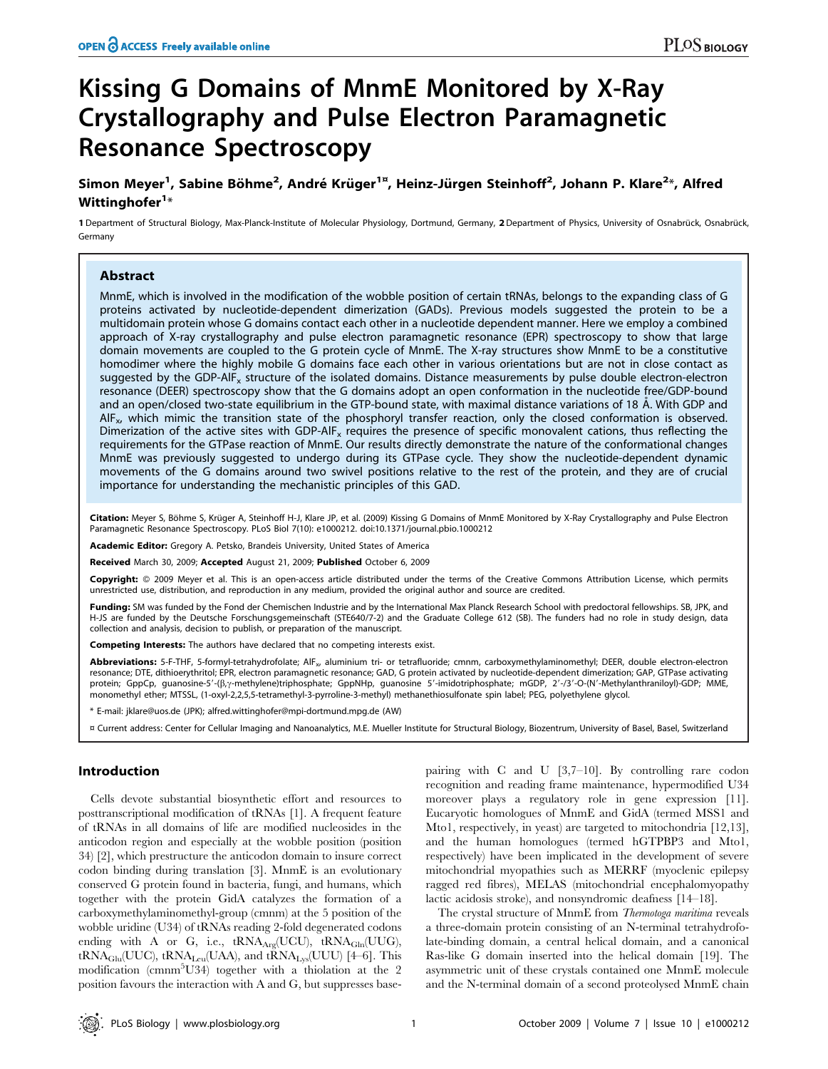# Kissing G Domains of MnmE Monitored by X-Ray Crystallography and Pulse Electron Paramagnetic Resonance Spectroscopy

Simon Meyer<sup>1</sup>, Sabine Böhme<sup>2</sup>, André Krüger<sup>1¤</sup>, Heinz-Jürgen Steinhoff<sup>2</sup>, Johann P. Klare<sup>2</sup>\*, Alfred Wittinghofer $^{1\ast}$ 

1 Department of Structural Biology, Max-Planck-Institute of Molecular Physiology, Dortmund, Germany, 2 Department of Physics, University of Osnabrück, Osnabrück, Germany

# Abstract

MnmE, which is involved in the modification of the wobble position of certain tRNAs, belongs to the expanding class of G proteins activated by nucleotide-dependent dimerization (GADs). Previous models suggested the protein to be a multidomain protein whose G domains contact each other in a nucleotide dependent manner. Here we employ a combined approach of X-ray crystallography and pulse electron paramagnetic resonance (EPR) spectroscopy to show that large domain movements are coupled to the G protein cycle of MnmE. The X-ray structures show MnmE to be a constitutive homodimer where the highly mobile G domains face each other in various orientations but are not in close contact as suggested by the GDP-AlF<sub>x</sub> structure of the isolated domains. Distance measurements by pulse double electron-electron resonance (DEER) spectroscopy show that the G domains adopt an open conformation in the nucleotide free/GDP-bound and an open/closed two-state equilibrium in the GTP-bound state, with maximal distance variations of 18 Å. With GDP and AlF<sub>x</sub>, which mimic the transition state of the phosphoryl transfer reaction, only the closed conformation is observed. Dimerization of the active sites with GDP-AlF<sub>x</sub> requires the presence of specific monovalent cations, thus reflecting the requirements for the GTPase reaction of MnmE. Our results directly demonstrate the nature of the conformational changes MnmE was previously suggested to undergo during its GTPase cycle. They show the nucleotide-dependent dynamic movements of the G domains around two swivel positions relative to the rest of the protein, and they are of crucial importance for understanding the mechanistic principles of this GAD.

Citation: Meyer S, Böhme S, Krüger A, Steinhoff H-J, Klare JP, et al. (2009) Kissing G Domains of MnmE Monitored by X-Ray Crystallography and Pulse Electron Paramagnetic Resonance Spectroscopy. PLoS Biol 7(10): e1000212. doi:10.1371/journal.pbio.1000212

Academic Editor: Gregory A. Petsko, Brandeis University, United States of America

Received March 30, 2009; Accepted August 21, 2009; Published October 6, 2009

Copyright: @ 2009 Meyer et al. This is an open-access article distributed under the terms of the Creative Commons Attribution License, which permits unrestricted use, distribution, and reproduction in any medium, provided the original author and source are credited.

Funding: SM was funded by the Fond der Chemischen Industrie and by the International Max Planck Research School with predoctoral fellowships. SB, JPK, and H-JS are funded by the Deutsche Forschungsgemeinschaft (STE640/7-2) and the Graduate College 612 (SB). The funders had no role in study design, data collection and analysis, decision to publish, or preparation of the manuscript.

Competing Interests: The authors have declared that no competing interests exist.

Abbreviations: 5-F-THF, 5-formyl-tetrahydrofolate; AlF<sub>x</sub>, aluminium tri- or tetrafluoride; cmnm, carboxymethylaminomethyl; DEER, double electron-electron resonance; DTE, dithioerythritol; EPR, electron paramagnetic resonance; GAD, G protein activated by nucleotide-dependent dimerization; GAP, GTPase activating protein; GppCp, guanosine-5'-( $\beta$ , $\gamma$ -methylene)triphosphate; GppNHp, guanosine 5'-imidotriphosphate; mGDP, 2'-/3'-O-(N'-Methylanthraniloyl)-GDP; MME, monomethyl ether; MTSSL, (1-oxyl-2,2,5,5-tetramethyl-3-pyrroline-3-methyl) methanethiosulfonate spin label; PEG, polyethylene glycol.

\* E-mail: jklare@uos.de (JPK); alfred.wittinghofer@mpi-dortmund.mpg.de (AW)

¤ Current address: Center for Cellular Imaging and Nanoanalytics, M.E. Mueller Institute for Structural Biology, Biozentrum, University of Basel, Basel, Switzerland

# Introduction

Cells devote substantial biosynthetic effort and resources to posttranscriptional modification of tRNAs [1]. A frequent feature of tRNAs in all domains of life are modified nucleosides in the anticodon region and especially at the wobble position (position 34) [2], which prestructure the anticodon domain to insure correct codon binding during translation [3]. MnmE is an evolutionary conserved G protein found in bacteria, fungi, and humans, which together with the protein GidA catalyzes the formation of a carboxymethylaminomethyl-group (cmnm) at the 5 position of the wobble uridine (U34) of tRNAs reading 2-fold degenerated codons ending with A or G, i.e.,  $tRNA_{Arg}(UCU)$ ,  $tRNA_{Gln}(UUG)$ ,  $tRNA_{Glu}(UUC)$ ,  $tRNA_{Leu}(UAA)$ , and  $tRNA_{Lvs}(UUU)$  [4–6]. This modification (cmnm<sup>5</sup>U34) together with a thiolation at the 2 position favours the interaction with A and G, but suppresses basepairing with C and U [3,7–10]. By controlling rare codon recognition and reading frame maintenance, hypermodified U34 moreover plays a regulatory role in gene expression [11]. Eucaryotic homologues of MnmE and GidA (termed MSS1 and Mto1, respectively, in yeast) are targeted to mitochondria [12,13], and the human homologues (termed hGTPBP3 and Mto1, respectively) have been implicated in the development of severe mitochondrial myopathies such as MERRF (myoclenic epilepsy ragged red fibres), MELAS (mitochondrial encephalomyopathy lactic acidosis stroke), and nonsyndromic deafness [14–18].

The crystal structure of MnmE from Thermotoga maritima reveals a three-domain protein consisting of an N-terminal tetrahydrofolate-binding domain, a central helical domain, and a canonical Ras-like G domain inserted into the helical domain [19]. The asymmetric unit of these crystals contained one MnmE molecule and the N-terminal domain of a second proteolysed MnmE chain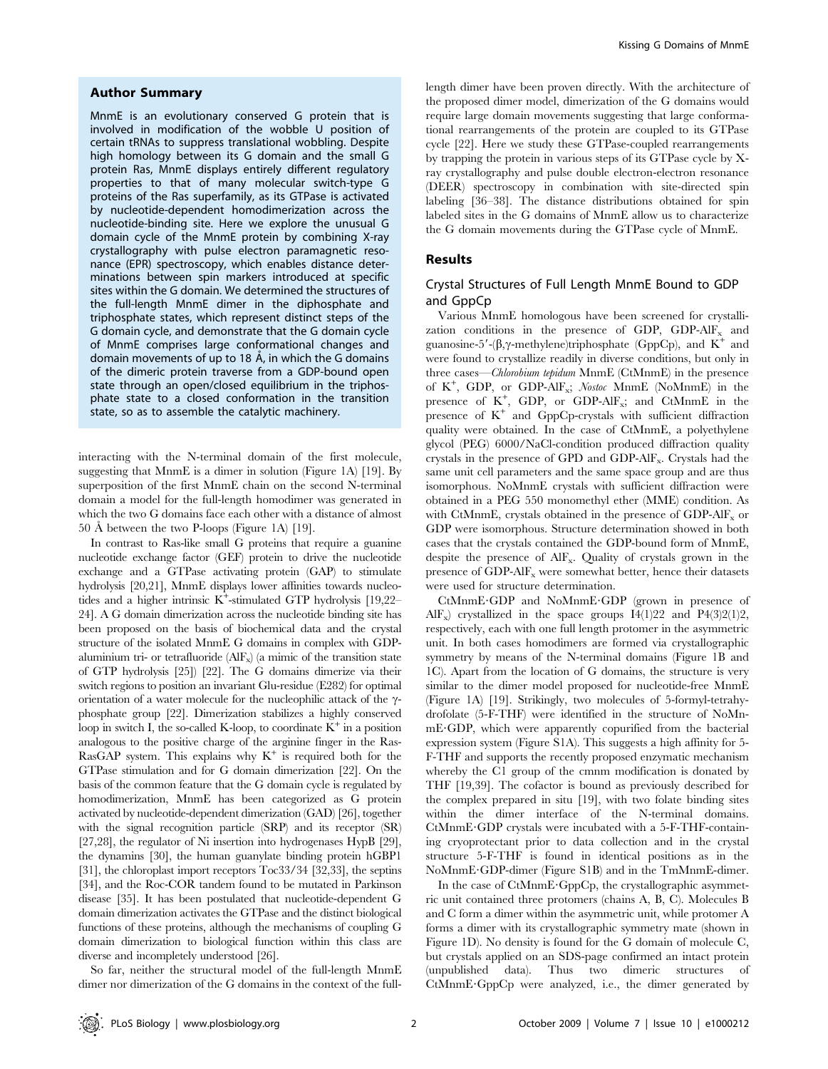## Author Summary

MnmE is an evolutionary conserved G protein that is involved in modification of the wobble U position of certain tRNAs to suppress translational wobbling. Despite high homology between its G domain and the small G protein Ras, MnmE displays entirely different regulatory properties to that of many molecular switch-type G proteins of the Ras superfamily, as its GTPase is activated by nucleotide-dependent homodimerization across the nucleotide-binding site. Here we explore the unusual G domain cycle of the MnmE protein by combining X-ray crystallography with pulse electron paramagnetic resonance (EPR) spectroscopy, which enables distance determinations between spin markers introduced at specific sites within the G domain. We determined the structures of the full-length MnmE dimer in the diphosphate and triphosphate states, which represent distinct steps of the G domain cycle, and demonstrate that the G domain cycle of MnmE comprises large conformational changes and domain movements of up to 18 A, in which the G domains of the dimeric protein traverse from a GDP-bound open state through an open/closed equilibrium in the triphosphate state to a closed conformation in the transition state, so as to assemble the catalytic machinery.

interacting with the N-terminal domain of the first molecule, suggesting that MnmE is a dimer in solution (Figure 1A) [19]. By superposition of the first MnmE chain on the second N-terminal domain a model for the full-length homodimer was generated in which the two G domains face each other with a distance of almost 50 Å between the two P-loops (Figure 1A)  $[19]$ .

In contrast to Ras-like small G proteins that require a guanine nucleotide exchange factor (GEF) protein to drive the nucleotide exchange and a GTPase activating protein (GAP) to stimulate hydrolysis [20,21], MnmE displays lower affinities towards nucleotides and a higher intrinsic K<sup>+</sup> -stimulated GTP hydrolysis [19,22– 24]. A G domain dimerization across the nucleotide binding site has been proposed on the basis of biochemical data and the crystal structure of the isolated MnmE G domains in complex with GDPaluminium tri- or tetrafluoride  $(AIF_x)$  (a mimic of the transition state of GTP hydrolysis [25]) [22]. The G domains dimerize via their switch regions to position an invariant Glu-residue (E282) for optimal orientation of a water molecule for the nucleophilic attack of the  $\gamma$ phosphate group [22]. Dimerization stabilizes a highly conserved loop in switch I, the so-called K-loop, to coordinate  $K^+$  in a position analogous to the positive charge of the arginine finger in the Ras-RasGAP system. This explains why  $K^+$  is required both for the GTPase stimulation and for G domain dimerization [22]. On the basis of the common feature that the G domain cycle is regulated by homodimerization, MnmE has been categorized as G protein activated by nucleotide-dependent dimerization (GAD) [26], together with the signal recognition particle (SRP) and its receptor (SR) [27,28], the regulator of Ni insertion into hydrogenases HypB [29], the dynamins [30], the human guanylate binding protein hGBP1 [31], the chloroplast import receptors Toc33/34 [32,33], the septins [34], and the Roc-COR tandem found to be mutated in Parkinson disease [35]. It has been postulated that nucleotide-dependent G domain dimerization activates the GTPase and the distinct biological functions of these proteins, although the mechanisms of coupling G domain dimerization to biological function within this class are diverse and incompletely understood [26].

So far, neither the structural model of the full-length MnmE dimer nor dimerization of the G domains in the context of the fulllength dimer have been proven directly. With the architecture of the proposed dimer model, dimerization of the G domains would require large domain movements suggesting that large conformational rearrangements of the protein are coupled to its GTPase cycle [22]. Here we study these GTPase-coupled rearrangements by trapping the protein in various steps of its GTPase cycle by Xray crystallography and pulse double electron-electron resonance (DEER) spectroscopy in combination with site-directed spin labeling [36–38]. The distance distributions obtained for spin labeled sites in the G domains of MnmE allow us to characterize the G domain movements during the GTPase cycle of MnmE.

# Results

# Crystal Structures of Full Length MnmE Bound to GDP and GppCp

Various MnmE homologous have been screened for crystallization conditions in the presence of GDP,  $GDP-AlF_x$  and guanosine-5'-( $\beta$ , $\gamma$ -methylene)triphosphate (GppCp), and K<sup>+</sup> and were found to crystallize readily in diverse conditions, but only in three cases—Chlorobium tepidum MnmE (CtMnmE) in the presence of K<sup>+</sup>, GDP, or GDP-AlF<sub>x</sub>; Nostoc MnmE (NoMnmE) in the presence of K<sup>+</sup>, GDP, or GDP-AlF<sub>x</sub>; and CtMnmE in the presence of  $K^+$  and GppCp-crystals with sufficient diffraction quality were obtained. In the case of CtMnmE, a polyethylene glycol (PEG) 6000/NaCl-condition produced diffraction quality crystals in the presence of GPD and  $GDP-AIF_x$ . Crystals had the same unit cell parameters and the same space group and are thus isomorphous. NoMnmE crystals with sufficient diffraction were obtained in a PEG 550 monomethyl ether (MME) condition. As with CtMnmE, crystals obtained in the presence of  $GDP-AIF_x$  or GDP were isomorphous. Structure determination showed in both cases that the crystals contained the GDP-bound form of MnmE, despite the presence of  $\text{AlF}_x$ . Quality of crystals grown in the presence of  $GDP-AIF_x$  were somewhat better, hence their datasets were used for structure determination.

CtMnmE?GDP and NoMnmE?GDP (grown in presence of AlF<sub>x</sub>) crystallized in the space groups  $I4(1)22$  and  $P4(3)2(1)2$ , respectively, each with one full length protomer in the asymmetric unit. In both cases homodimers are formed via crystallographic symmetry by means of the N-terminal domains (Figure 1B and 1C). Apart from the location of G domains, the structure is very similar to the dimer model proposed for nucleotide-free MnmE (Figure 1A) [19]. Strikingly, two molecules of 5-formyl-tetrahydrofolate (5-F-THF) were identified in the structure of NoMnmE?GDP, which were apparently copurified from the bacterial expression system (Figure S1A). This suggests a high affinity for 5- F-THF and supports the recently proposed enzymatic mechanism whereby the C1 group of the cmnm modification is donated by THF [19,39]. The cofactor is bound as previously described for the complex prepared in situ [19], with two folate binding sites within the dimer interface of the N-terminal domains. CtMnmE?GDP crystals were incubated with a 5-F-THF-containing cryoprotectant prior to data collection and in the crystal structure 5-F-THF is found in identical positions as in the NoMnmE?GDP-dimer (Figure S1B) and in the TmMnmE-dimer.

In the case of CtMnmE?GppCp, the crystallographic asymmetric unit contained three protomers (chains A, B, C). Molecules B and C form a dimer within the asymmetric unit, while protomer A forms a dimer with its crystallographic symmetry mate (shown in Figure 1D). No density is found for the G domain of molecule C, but crystals applied on an SDS-page confirmed an intact protein (unpublished data). Thus two dimeric structures of CtMnmE?GppCp were analyzed, i.e., the dimer generated by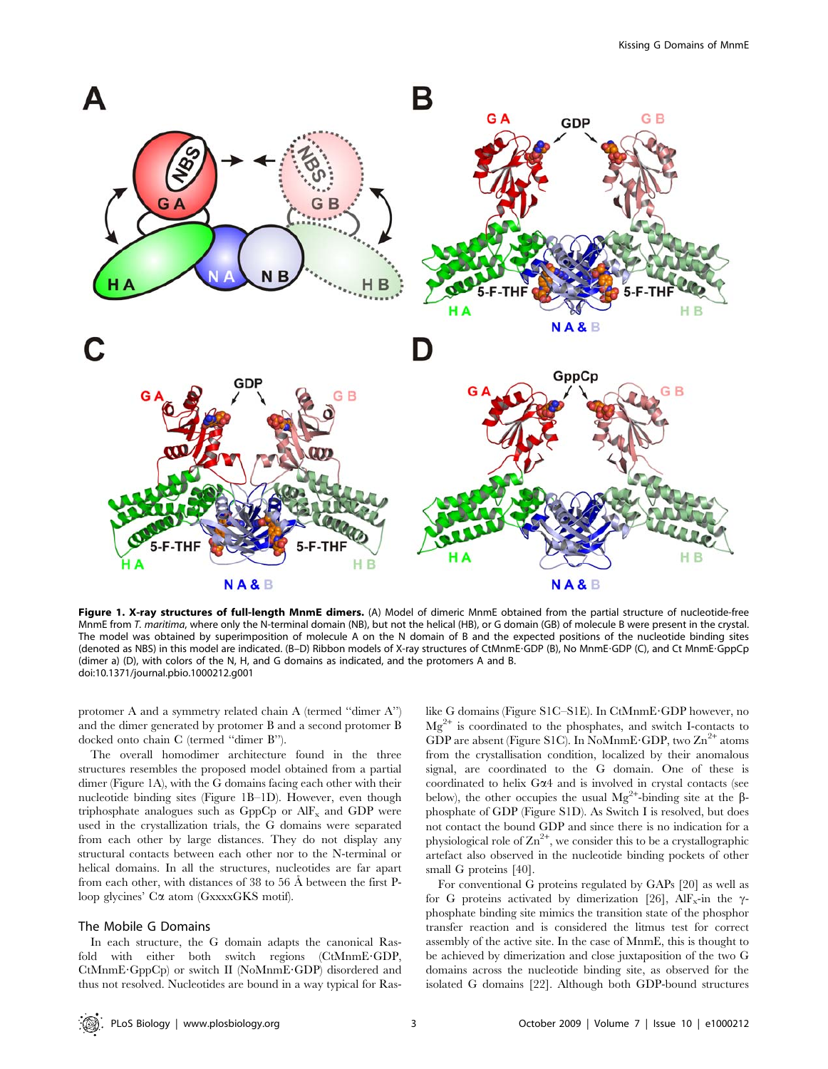

Figure 1. X-ray structures of full-length MnmE dimers. (A) Model of dimeric MnmE obtained from the partial structure of nucleotide-free MnmE from T. maritima, where only the N-terminal domain (NB), but not the helical (HB), or G domain (GB) of molecule B were present in the crystal. The model was obtained by superimposition of molecule A on the N domain of B and the expected positions of the nucleotide binding sites (denoted as NBS) in this model are indicated. (B–D) Ribbon models of X-ray structures of CtMnmE?GDP (B), No MnmE?GDP (C), and Ct MnmE?GppCp (dimer a) (D), with colors of the N, H, and G domains as indicated, and the protomers A and B. doi:10.1371/journal.pbio.1000212.g001

protomer A and a symmetry related chain A (termed ''dimer A'') and the dimer generated by protomer B and a second protomer B docked onto chain C (termed ''dimer B'').

The overall homodimer architecture found in the three structures resembles the proposed model obtained from a partial dimer (Figure 1A), with the G domains facing each other with their nucleotide binding sites (Figure 1B–1D). However, even though triphosphate analogues such as GppCp or  $\text{AlF}_x$  and GDP were used in the crystallization trials, the G domains were separated from each other by large distances. They do not display any structural contacts between each other nor to the N-terminal or helical domains. In all the structures, nucleotides are far apart from each other, with distances of 38 to 56  $\AA$  between the first Ploop glycines' Cα atom (GxxxxGKS motif).

# The Mobile G Domains

In each structure, the G domain adapts the canonical Rasfold with either both switch regions (CtMnmE·GDP, CtMnmE?GppCp) or switch II (NoMnmE?GDP) disordered and thus not resolved. Nucleotides are bound in a way typical for Raslike G domains (Figure S1C–S1E). In CtMnmE?GDP however, no  $Mg^{2+}$  is coordinated to the phosphates, and switch I-contacts to GDP are absent (Figure S1C). In NoMnmE.GDP, two  $\text{Zn}^{2+}$  atoms from the crystallisation condition, localized by their anomalous signal, are coordinated to the G domain. One of these is coordinated to helix  $G\alpha4$  and is involved in crystal contacts (see below), the other occupies the usual  $Mg^{2+}$ -binding site at the  $\beta$ phosphate of GDP (Figure S1D). As Switch I is resolved, but does not contact the bound GDP and since there is no indication for a physiological role of  $\text{Zn}^{2+}$ , we consider this to be a crystallographic artefact also observed in the nucleotide binding pockets of other small G proteins [40].

For conventional G proteins regulated by GAPs [20] as well as for G proteins activated by dimerization [26], AlF<sub>x</sub>-in the  $\gamma$ phosphate binding site mimics the transition state of the phosphor transfer reaction and is considered the litmus test for correct assembly of the active site. In the case of MnmE, this is thought to be achieved by dimerization and close juxtaposition of the two G domains across the nucleotide binding site, as observed for the isolated G domains [22]. Although both GDP-bound structures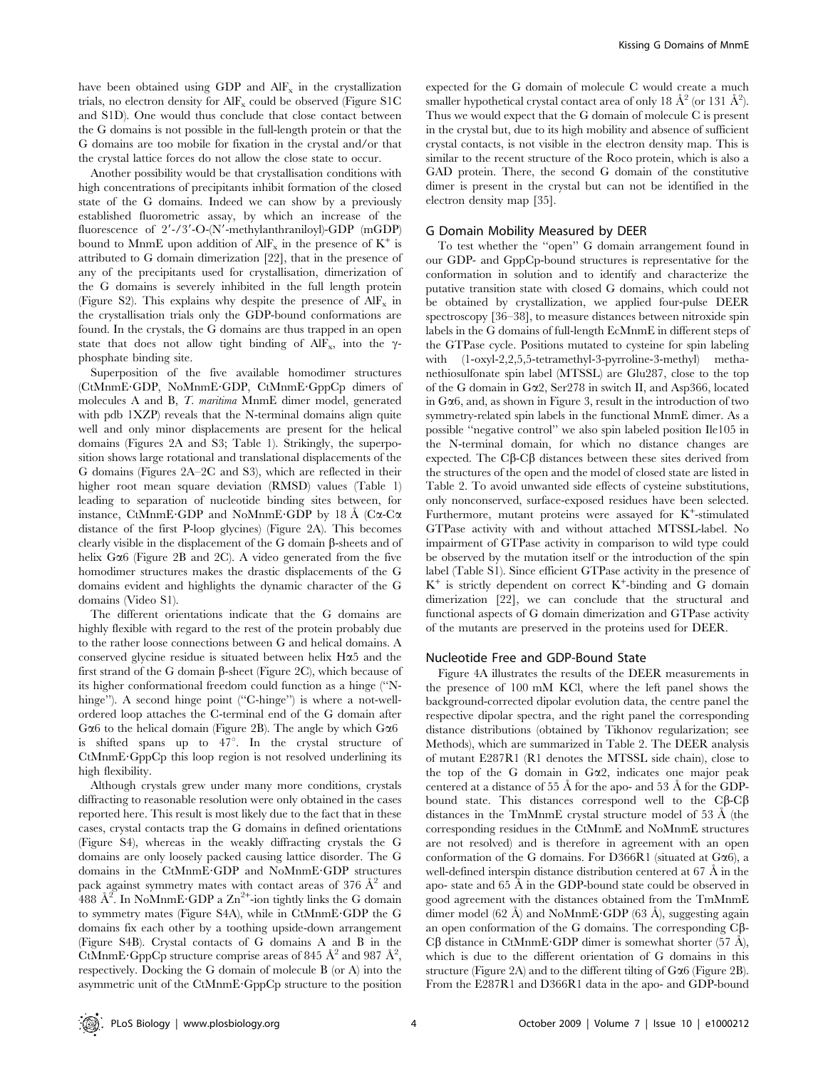have been obtained using GDP and  $\text{AlF}_x$  in the crystallization trials, no electron density for  $\text{AlF}_x$  could be observed (Figure S1C) and S1D). One would thus conclude that close contact between the G domains is not possible in the full-length protein or that the G domains are too mobile for fixation in the crystal and/or that the crystal lattice forces do not allow the close state to occur.

Another possibility would be that crystallisation conditions with high concentrations of precipitants inhibit formation of the closed state of the G domains. Indeed we can show by a previously established fluorometric assay, by which an increase of the fluorescence of  $2'-7/3'-O-N'-methylanthraniloyl$ -GDP (mGDP) bound to MnmE upon addition of  $\text{AlF}_x$  in the presence of  $\text{K}^+$  is attributed to G domain dimerization [22], that in the presence of any of the precipitants used for crystallisation, dimerization of the G domains is severely inhibited in the full length protein (Figure S2). This explains why despite the presence of  $\text{AlF}_x$  in the crystallisation trials only the GDP-bound conformations are found. In the crystals, the G domains are thus trapped in an open state that does not allow tight binding of  $\text{AlF}_x$ , into the  $\gamma$ phosphate binding site.

Superposition of the five available homodimer structures (CtMnmE?GDP, NoMnmE?GDP, CtMnmE?GppCp dimers of molecules A and B, T. maritima MnmE dimer model, generated with pdb 1XZP) reveals that the N-terminal domains align quite well and only minor displacements are present for the helical domains (Figures 2A and S3; Table 1). Strikingly, the superposition shows large rotational and translational displacements of the G domains (Figures 2A–2C and S3), which are reflected in their higher root mean square deviation (RMSD) values (Table 1) leading to separation of nucleotide binding sites between, for instance, CtMnmE·GDP and NoMnmE·GDP by 18  $\dot{A}$  (C $\alpha$ -C $\alpha$ ) distance of the first P-loop glycines) (Figure 2A). This becomes clearly visible in the displacement of the G domain  $\beta$ -sheets and of helix  $G\alpha6$  (Figure 2B and 2C). A video generated from the five homodimer structures makes the drastic displacements of the G domains evident and highlights the dynamic character of the G domains (Video S1).

The different orientations indicate that the G domains are highly flexible with regard to the rest of the protein probably due to the rather loose connections between G and helical domains. A conserved glycine residue is situated between helix  $H\alpha5$  and the first strand of the G domain  $\beta$ -sheet (Figure 2C), which because of its higher conformational freedom could function as a hinge (''Nhinge"). A second hinge point ("C-hinge") is where a not-wellordered loop attaches the C-terminal end of the G domain after G $\alpha$ 6 to the helical domain (Figure 2B). The angle by which G $\alpha$ 6 is shifted spans up to  $47^\circ$ . In the crystal structure of CtMnmE?GppCp this loop region is not resolved underlining its high flexibility.

Although crystals grew under many more conditions, crystals diffracting to reasonable resolution were only obtained in the cases reported here. This result is most likely due to the fact that in these cases, crystal contacts trap the G domains in defined orientations (Figure S4), whereas in the weakly diffracting crystals the G domains are only loosely packed causing lattice disorder. The G domains in the CtMnmE?GDP and NoMnmE?GDP structures pack against symmetry mates with contact areas of  $376 \text{ Å}^2$  and  $488 \text{ Å}^2$ . In NoMnmE·GDP a  $\text{Zn}^{2+}$ -ion tightly links the G domain to symmetry mates (Figure S4A), while in CtMnmE?GDP the G domains fix each other by a toothing upside-down arrangement (Figure S4B). Crystal contacts of G domains A and B in the CtMnmE·GppCp structure comprise areas of 845  $\AA^2$  and 987  $\AA^2$ , respectively. Docking the G domain of molecule B (or A) into the asymmetric unit of the CtMnmE?GppCp structure to the position

expected for the G domain of molecule C would create a much smaller hypothetical crystal contact area of only 18  $\AA^2$  (or 131  $\AA^2$ ). Thus we would expect that the G domain of molecule C is present in the crystal but, due to its high mobility and absence of sufficient crystal contacts, is not visible in the electron density map. This is similar to the recent structure of the Roco protein, which is also a GAD protein. There, the second G domain of the constitutive dimer is present in the crystal but can not be identified in the electron density map [35].

# G Domain Mobility Measured by DEER

To test whether the ''open'' G domain arrangement found in our GDP- and GppCp-bound structures is representative for the conformation in solution and to identify and characterize the putative transition state with closed G domains, which could not be obtained by crystallization, we applied four-pulse DEER spectroscopy [36–38], to measure distances between nitroxide spin labels in the G domains of full-length EcMnmE in different steps of the GTPase cycle. Positions mutated to cysteine for spin labeling with (1-oxyl-2,2,5,5-tetramethyl-3-pyrroline-3-methyl) methanethiosulfonate spin label (MTSSL) are Glu287, close to the top of the G domain in Ga2, Ser278 in switch II, and Asp366, located in  $G\alpha6$ , and, as shown in Figure 3, result in the introduction of two symmetry-related spin labels in the functional MnmE dimer. As a possible ''negative control'' we also spin labeled position Ile105 in the N-terminal domain, for which no distance changes are expected. The  $C\beta$ -C $\beta$  distances between these sites derived from the structures of the open and the model of closed state are listed in Table 2. To avoid unwanted side effects of cysteine substitutions, only nonconserved, surface-exposed residues have been selected. Furthermore, mutant proteins were assayed for K<sup>+</sup>-stimulated GTPase activity with and without attached MTSSL-label. No impairment of GTPase activity in comparison to wild type could be observed by the mutation itself or the introduction of the spin label (Table S1). Since efficient GTPase activity in the presence of  $K^+$  is strictly dependent on correct  $K^+$ -binding and G domain dimerization [22], we can conclude that the structural and functional aspects of G domain dimerization and GTPase activity of the mutants are preserved in the proteins used for DEER.

#### Nucleotide Free and GDP-Bound State

Figure 4A illustrates the results of the DEER measurements in the presence of 100 mM KCl, where the left panel shows the background-corrected dipolar evolution data, the centre panel the respective dipolar spectra, and the right panel the corresponding distance distributions (obtained by Tikhonov regularization; see Methods), which are summarized in Table 2. The DEER analysis of mutant E287R1 (R1 denotes the MTSSL side chain), close to the top of the G domain in  $G\alpha2$ , indicates one major peak centered at a distance of 55 Å for the apo- and 53 Å for the GDPbound state. This distances correspond well to the  $C\beta$ - $C\beta$ distances in the TmMnmE crystal structure model of  $53 \text{ Å}$  (the corresponding residues in the CtMnmE and NoMnmE structures are not resolved) and is therefore in agreement with an open conformation of the G domains. For D366R1 (situated at  $G\alpha_0$ ), a well-defined interspin distance distribution centered at 67 Å in the apo- state and 65 A˚ in the GDP-bound state could be observed in good agreement with the distances obtained from the TmMnmE dimer model  $(62 \text{ Å})$  and NoMnmE $\cdot$ GDP  $(63 \text{ Å})$ , suggesting again an open conformation of the G domains. The corresponding  $C\beta$ -C $\beta$  distance in CtMnmE·GDP dimer is somewhat shorter (57 Å), which is due to the different orientation of G domains in this structure (Figure 2A) and to the different tilting of  $G\alpha6$  (Figure 2B). From the E287R1 and D366R1 data in the apo- and GDP-bound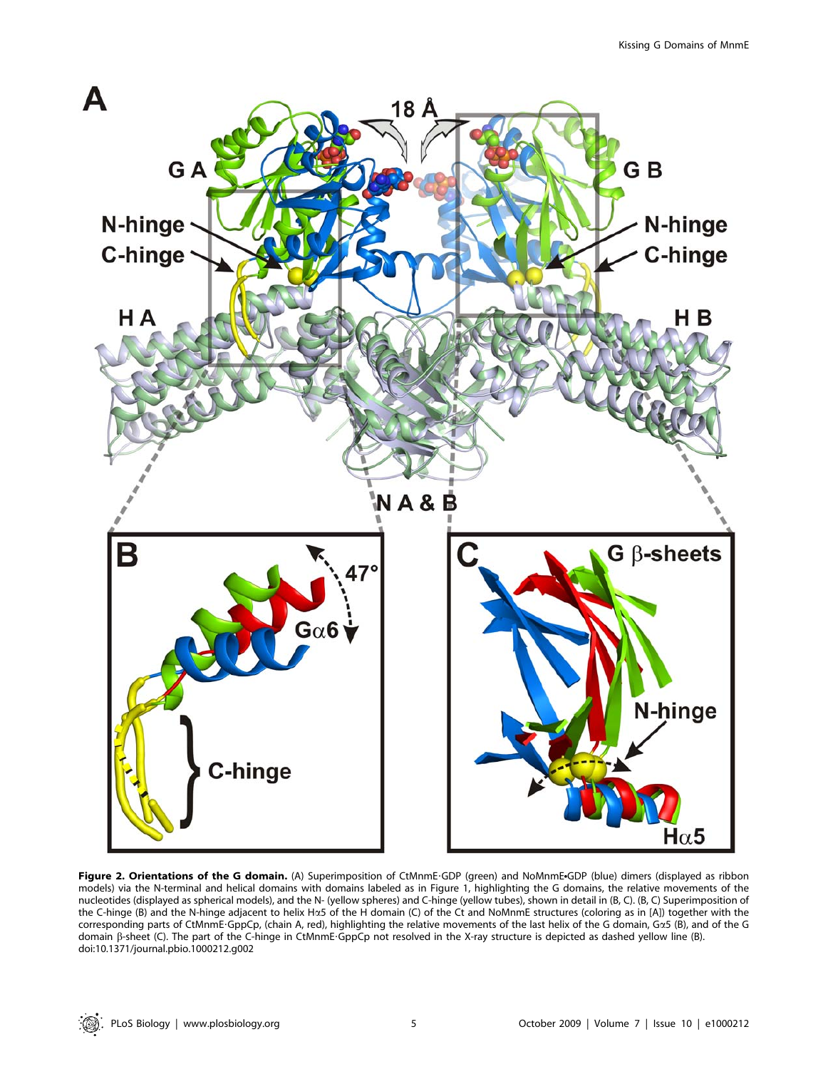

Figure 2. Orientations of the G domain. (A) Superimposition of CtMnmE·GDP (green) and NoMnmE·GDP (blue) dimers (displayed as ribbon models) via the N-terminal and helical domains with domains labeled as in Figure 1, highlighting the G domains, the relative movements of the nucleotides (displayed as spherical models), and the N- (yellow spheres) and C-hinge (yellow tubes), shown in detail in (B, C). (B, C) Superimposition of the C-hinge (B) and the N-hinge adjacent to helix Ha5 of the H domain (C) of the Ct and NoMnmE structures (coloring as in [A]) together with the corresponding parts of CtMnmE GppCp, (chain A, red), highlighting the relative movements of the last helix of the G domain, Ga5 (B), and of the G domain  $\beta$ -sheet (C). The part of the C-hinge in CtMnmE GppCp not resolved in the X-ray structure is depicted as dashed yellow line (B). doi:10.1371/journal.pbio.1000212.g002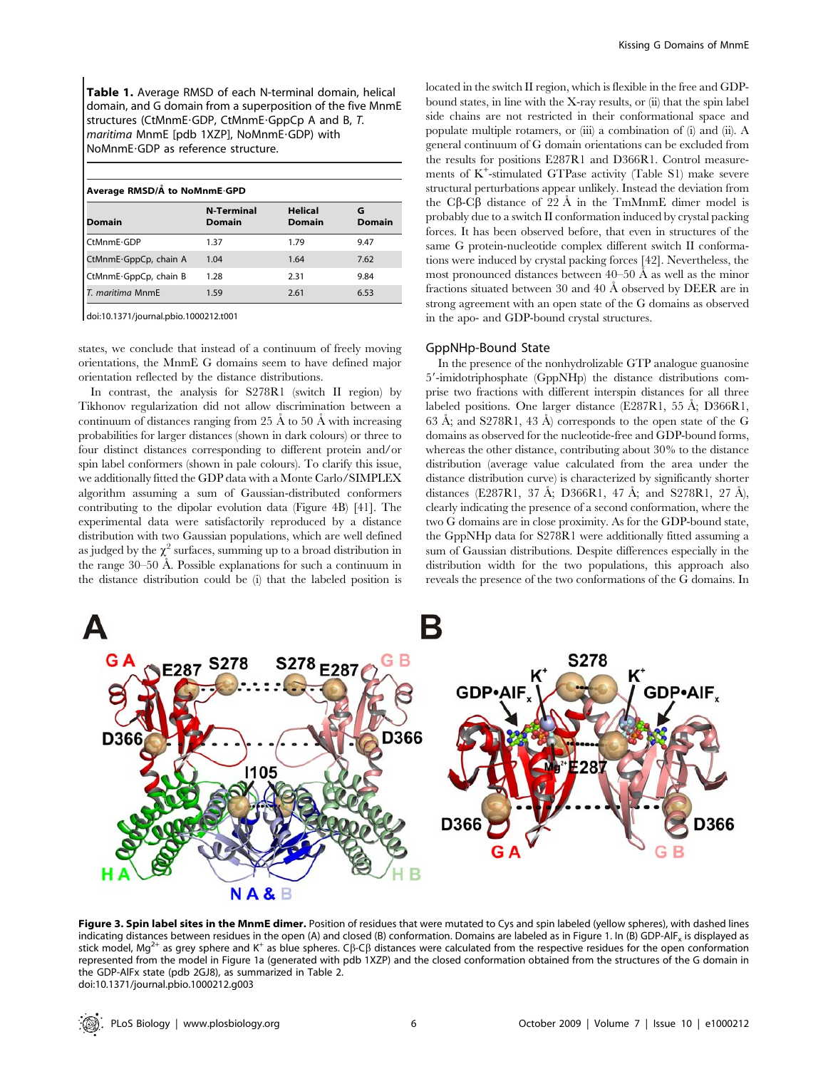Table 1. Average RMSD of each N-terminal domain, helical domain, and G domain from a superposition of the five MnmE structures (CtMnmE·GDP, CtMnmE·GppCp A and B, T. maritima MnmE [pdb 1XZP], NoMnmE·GDP) with NoMnmE?GDP as reference structure.

#### Average RMSD/A˚ to NoMnmE?GPD

| Domain                | <b>N-Terminal</b><br>Domain | <b>Helical</b><br>Domain | G<br>Domain |
|-----------------------|-----------------------------|--------------------------|-------------|
| CtMnmE·GDP            | 1.37                        | 1.79                     | 9.47        |
| CtMnmE.GppCp, chain A | 1.04                        | 1.64                     | 7.62        |
| CtMnmE.GppCp, chain B | 1.28                        | 2.31                     | 9.84        |
| T. maritima MnmE      | 1.59                        | 2.61                     | 6.53        |

doi:10.1371/journal.pbio.1000212.t001

states, we conclude that instead of a continuum of freely moving orientations, the MnmE G domains seem to have defined major orientation reflected by the distance distributions.

In contrast, the analysis for S278R1 (switch II region) by Tikhonov regularization did not allow discrimination between a continuum of distances ranging from 25  $\AA$  to 50  $\AA$  with increasing probabilities for larger distances (shown in dark colours) or three to four distinct distances corresponding to different protein and/or spin label conformers (shown in pale colours). To clarify this issue, we additionally fitted the GDP data with a Monte Carlo/SIMPLEX algorithm assuming a sum of Gaussian-distributed conformers contributing to the dipolar evolution data (Figure 4B) [41]. The experimental data were satisfactorily reproduced by a distance distribution with two Gaussian populations, which are well defined as judged by the  $\chi^2$  surfaces, summing up to a broad distribution in the range 30–50 Å. Possible explanations for such a continuum in the distance distribution could be (i) that the labeled position is

located in the switch II region, which is flexible in the free and GDPbound states, in line with the X-ray results, or (ii) that the spin label side chains are not restricted in their conformational space and populate multiple rotamers, or (iii) a combination of (i) and (ii). A general continuum of G domain orientations can be excluded from the results for positions E287R1 and D366R1. Control measurements of K<sup>+</sup> -stimulated GTPase activity (Table S1) make severe structural perturbations appear unlikely. Instead the deviation from the C $\beta$ -C $\beta$  distance of 22 Å in the TmMnmE dimer model is probably due to a switch II conformation induced by crystal packing forces. It has been observed before, that even in structures of the same G protein-nucleotide complex different switch II conformations were induced by crystal packing forces [42]. Nevertheless, the most pronounced distances between  $40-50$  Å as well as the minor fractions situated between 30 and 40 Å observed by DEER are in strong agreement with an open state of the G domains as observed in the apo- and GDP-bound crystal structures.

#### GppNHp-Bound State

In the presence of the nonhydrolizable GTP analogue guanosine 5'-imidotriphosphate (GppNHp) the distance distributions comprise two fractions with different interspin distances for all three labeled positions. One larger distance (E287R1, 55 Å; D366R1, 63 Å; and S278R1, 43 Å) corresponds to the open state of the G domains as observed for the nucleotide-free and GDP-bound forms, whereas the other distance, contributing about 30% to the distance distribution (average value calculated from the area under the distance distribution curve) is characterized by significantly shorter distances (E287R1, 37 Å; D366R1, 47 Å; and S278R1, 27 Å), clearly indicating the presence of a second conformation, where the two G domains are in close proximity. As for the GDP-bound state, the GppNHp data for S278R1 were additionally fitted assuming a sum of Gaussian distributions. Despite differences especially in the distribution width for the two populations, this approach also reveals the presence of the two conformations of the G domains. In



Figure 3. Spin label sites in the MnmE dimer. Position of residues that were mutated to Cys and spin labeled (yellow spheres), with dashed lines indicating distances between residues in the open (A) and closed (B) conformation. Domains are labeled as in Figure 1. In (B) GDP-AlF<sub>x</sub> is displayed as stick model, Mg<sup>2+</sup> as grey sphere and K<sup>+</sup> as blue spheres. C $\beta$ -C $\beta$  distances were calculated from the respective residues for the open conformation represented from the model in Figure 1a (generated with pdb 1XZP) and the closed conformation obtained from the structures of the G domain in the GDP-AlFx state (pdb 2GJ8), as summarized in Table 2. doi:10.1371/journal.pbio.1000212.g003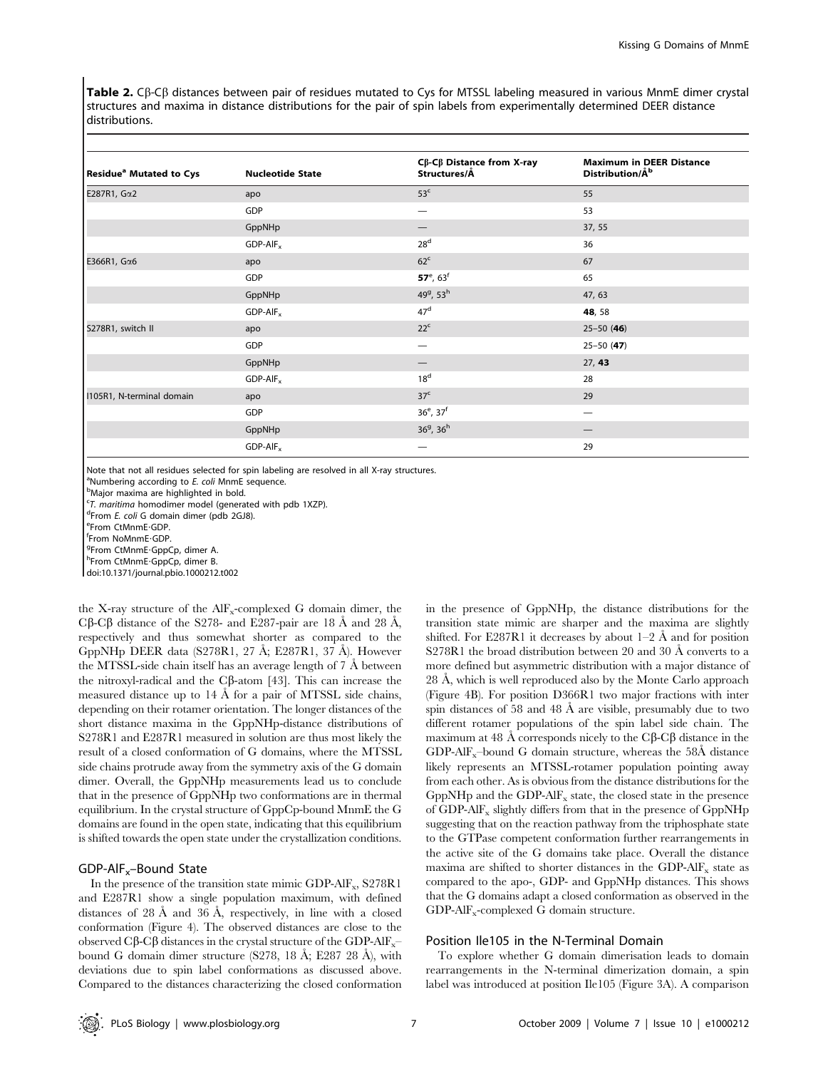Table 2. CB-CB distances between pair of residues mutated to Cys for MTSSL labeling measured in various MnmE dimer crystal structures and maxima in distance distributions for the pair of spin labels from experimentally determined DEER distance distributions.

| <b>Residue<sup>a</sup> Mutated to Cys</b> | <b>Nucleotide State</b> | Cβ-Cβ Distance from X-ray<br>Structures/Å | <b>Maximum in DEER Distance</b><br>Distribution/Å <sup>b</sup> |
|-------------------------------------------|-------------------------|-------------------------------------------|----------------------------------------------------------------|
| E287R1, Gα2                               | apo                     | 53 <sup>c</sup>                           | 55                                                             |
|                                           | GDP                     |                                           | 53                                                             |
|                                           | GppNHp                  |                                           | 37, 55                                                         |
|                                           | $GDP-AIF_x$             | 28 <sup>d</sup>                           | 36                                                             |
| E366R1, Gα6                               | apo                     | 62 <sup>c</sup>                           | 67                                                             |
|                                           | GDP                     | 57 $^{\rm e}$ , 63 $^{\rm f}$             | 65                                                             |
|                                           | GppNHp                  | 49 $9,53$ <sup>h</sup>                    | 47, 63                                                         |
|                                           | $GDP-AIF_{x}$           | 47 <sup>d</sup>                           | 48, 58                                                         |
| S278R1, switch II                         | apo                     | 22 <sup>c</sup>                           | $25 - 50(46)$                                                  |
|                                           | GDP                     |                                           | $25 - 50(47)$                                                  |
|                                           | GppNHp                  |                                           | 27, 43                                                         |
|                                           | $GDP-AIF_x$             | 18 <sup>d</sup>                           | 28                                                             |
| I105R1, N-terminal domain                 | apo                     | 37 <sup>c</sup>                           | 29                                                             |
|                                           | GDP                     | 36 <sup>e</sup> , 37 <sup>f</sup>         |                                                                |
|                                           | GppNHp                  | $36^9$ , $36^h$                           |                                                                |
|                                           | $GDP-AIF_{x}$           |                                           | 29                                                             |

Note that not all residues selected for spin labeling are resolved in all X-ray structures.

<sup>a</sup>Numbering according to *E. coli* MnmE sequence.<br><sup>b</sup>Maior maxima are bigblighted in hold

**b**Major maxima are highlighted in bold.

<sup>c</sup>T. maritima homodimer model (generated with pdb 1XZP).

<sup>d</sup>From E. coli G domain dimer (pdb 2GJ8).

eFrom CtMnmE.GDP.

from NoMnmE.GDP.

<sup>9</sup>From CtMnmE·GppCp, dimer A.

<sup>h</sup>From CtMnmE·GppCp, dimer B. doi:10.1371/journal.pbio.1000212.t002

the X-ray structure of the  $\text{AlF}_x$ -complexed G domain dimer, the C $\beta$ -C $\beta$  distance of the S278- and E287-pair are 18 Å and 28 Å, respectively and thus somewhat shorter as compared to the GppNHp DEER data (S278R1, 27 Å; E287R1, 37 Å). However the MTSSL-side chain itself has an average length of 7 Å between the nitroxyl-radical and the C $\beta$ -atom [43]. This can increase the measured distance up to  $14 \text{ Å}$  for a pair of MTSSL side chains, depending on their rotamer orientation. The longer distances of the short distance maxima in the GppNHp-distance distributions of S278R1 and E287R1 measured in solution are thus most likely the result of a closed conformation of G domains, where the MTSSL side chains protrude away from the symmetry axis of the G domain dimer. Overall, the GppNHp measurements lead us to conclude that in the presence of GppNHp two conformations are in thermal equilibrium. In the crystal structure of GppCp-bound MnmE the G domains are found in the open state, indicating that this equilibrium is shifted towards the open state under the crystallization conditions.

# GDP-AlFx–Bound State

In the presence of the transition state mimic GDP-AlF<sub>x</sub>, S278R1 and E287R1 show a single population maximum, with defined distances of  $28 \text{ Å}$  and  $36 \text{ Å}$ , respectively, in line with a closed conformation (Figure 4). The observed distances are close to the observed C $\beta$ -C $\beta$  distances in the crystal structure of the GDP-Al $F_x$ – bound G domain dimer structure  $(S278, 18 \text{ Å}; E287 28 \text{ Å})$ , with deviations due to spin label conformations as discussed above. Compared to the distances characterizing the closed conformation in the presence of GppNHp, the distance distributions for the transition state mimic are sharper and the maxima are slightly shifted. For E287R1 it decreases by about  $1-2$  Å and for position  $S278R1$  the broad distribution between 20 and 30 Å converts to a more defined but asymmetric distribution with a major distance of 28 Å, which is well reproduced also by the Monte Carlo approach (Figure 4B). For position D366R1 two major fractions with inter spin distances of 58 and 48  $\AA$  are visible, presumably due to two different rotamer populations of the spin label side chain. The maximum at 48 Å corresponds nicely to the  $C\beta$ -C $\beta$  distance in the GDP-AlF<sub>x</sub>–bound G domain structure, whereas the 58Å distance likely represents an MTSSL-rotamer population pointing away from each other. As is obvious from the distance distributions for the GppNHp and the GDP-Al $F_x$  state, the closed state in the presence of  $GDP-AIF_x$  slightly differs from that in the presence of  $GppNHp$ suggesting that on the reaction pathway from the triphosphate state to the GTPase competent conformation further rearrangements in the active site of the G domains take place. Overall the distance maxima are shifted to shorter distances in the GDP-AlF<sub>x</sub> state as compared to the apo-, GDP- and GppNHp distances. This shows that the G domains adapt a closed conformation as observed in the  $GDP-AIF_{x}$ -complexed G domain structure.

## Position Ile105 in the N-Terminal Domain

To explore whether G domain dimerisation leads to domain rearrangements in the N-terminal dimerization domain, a spin label was introduced at position Ile105 (Figure 3A). A comparison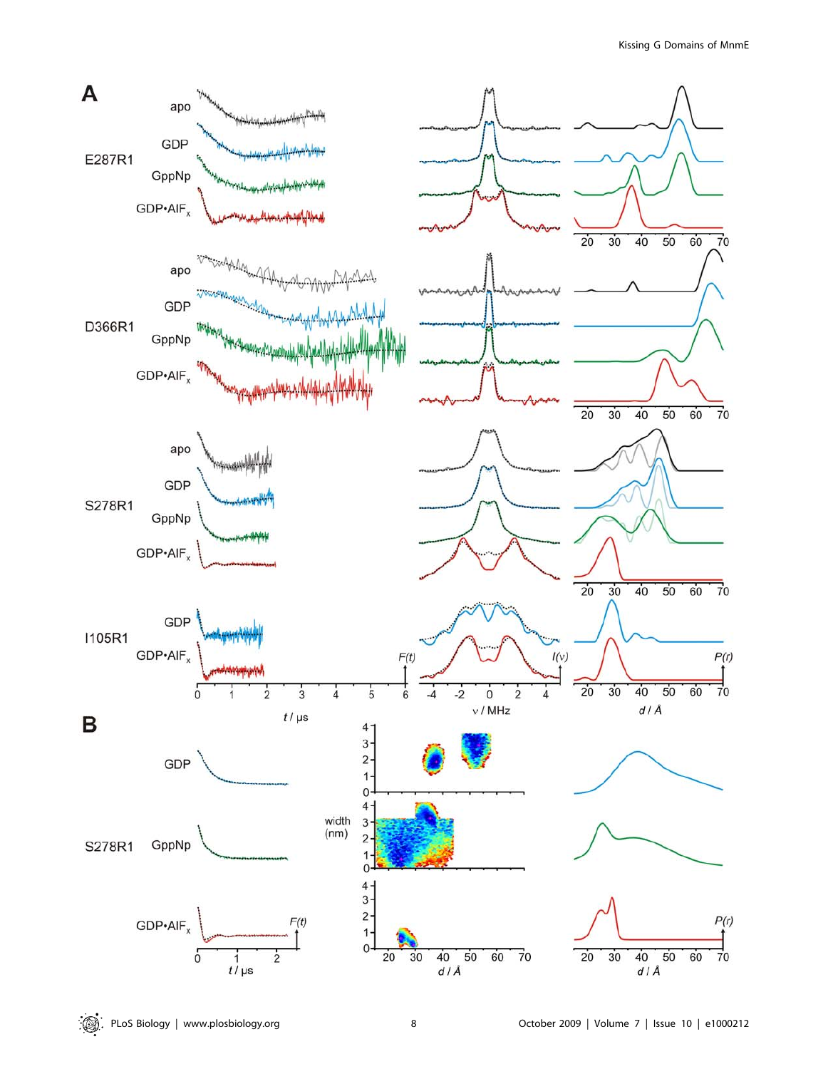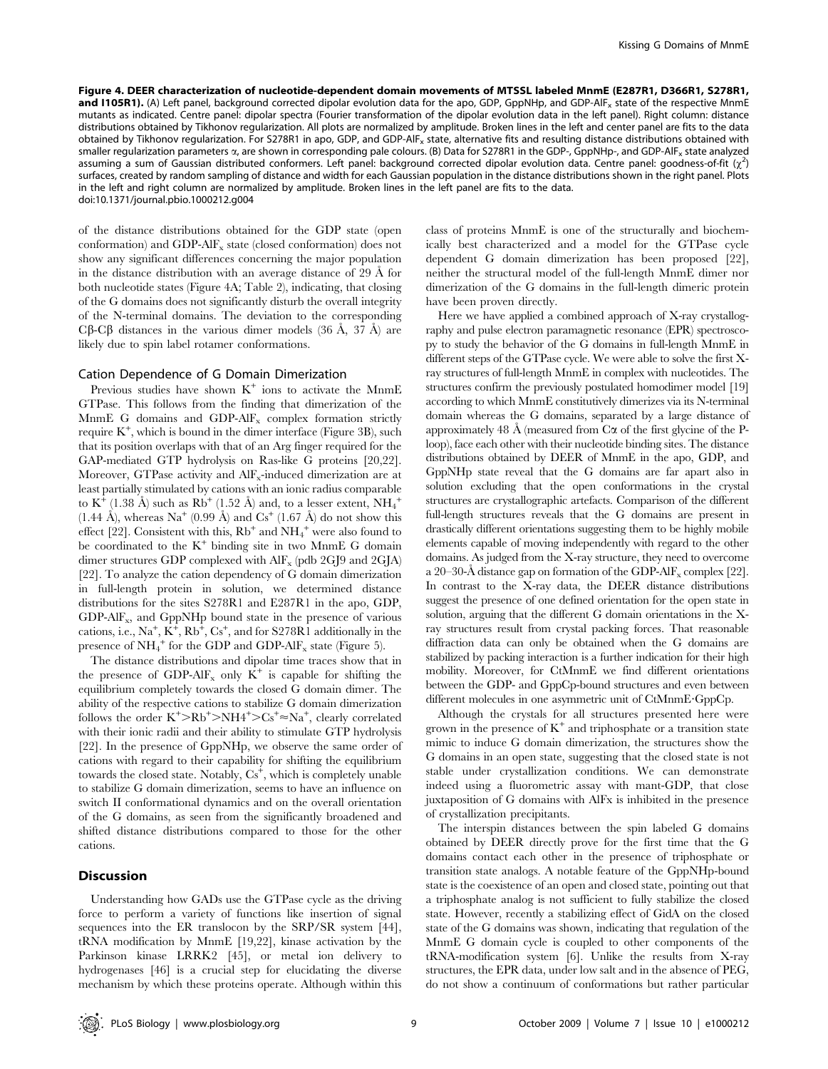Figure 4. DEER characterization of nucleotide-dependent domain movements of MTSSL labeled MnmE (E287R1, D366R1, S278R1, and I105R1). (A) Left panel, background corrected dipolar evolution data for the apo, GDP, GppNHp, and GDP-AlF<sub>x</sub> state of the respective MnmE mutants as indicated. Centre panel: dipolar spectra (Fourier transformation of the dipolar evolution data in the left panel). Right column: distance distributions obtained by Tikhonov regularization. All plots are normalized by amplitude. Broken lines in the left and center panel are fits to the data obtained by Tikhonov regularization. For S278R1 in apo, GDP, and GDP-AlFx state, alternative fits and resulting distance distributions obtained with smaller regularization parameters  $\alpha$ , are shown in corresponding pale colours. (B) Data for S278R1 in the GDP-, GppNHp-, and GDP-AlF<sub>x</sub> state analyzed assuming a sum of Gaussian distributed conformers. Left panel: background corrected dipolar evolution data. Centre panel: goodness-of-fit ( $\chi^2$ ) surfaces, created by random sampling of distance and width for each Gaussian population in the distance distributions shown in the right panel. Plots in the left and right column are normalized by amplitude. Broken lines in the left panel are fits to the data. doi:10.1371/journal.pbio.1000212.g004

of the distance distributions obtained for the GDP state (open conformation) and  $GDP-AIF_x$  state (closed conformation) does not show any significant differences concerning the major population in the distance distribution with an average distance of 29 Å for both nucleotide states (Figure 4A; Table 2), indicating, that closing of the G domains does not significantly disturb the overall integrity of the N-terminal domains. The deviation to the corresponding C $\beta$ -C $\beta$  distances in the various dimer models (36 Å, 37 Å) are likely due to spin label rotamer conformations.

# Cation Dependence of G Domain Dimerization

Previous studies have shown  $K^+$  ions to activate the MnmE GTPase. This follows from the finding that dimerization of the MnmE G domains and  $GDP-AIF_x$  complex formation strictly require K<sup>+</sup>, which is bound in the dimer interface (Figure 3B), such that its position overlaps with that of an Arg finger required for the GAP-mediated GTP hydrolysis on Ras-like G proteins [20,22]. Moreover, GTPase activity and  $\text{AlF}_x$ -induced dimerization are at least partially stimulated by cations with an ionic radius comparable to  $K^{\ddagger}$  (1.38 Å) such as  $Rb^{\ddagger}$  (1.52 Å) and, to a lesser extent,  $NH_{4}^{\phantom{1}\ddagger}$ (1.44 Å), whereas  $\text{Na}^+$  (0.99 Å) and  $\text{Cs}^+$  (1.67 Å) do not show this effect [22]. Consistent with this,  $Rb^+$  and  $NH_4^+$  were also found to be coordinated to the  $K^+$  binding site in two MnmE G domain dimer structures GDP complexed with  $\text{AlF}_x$  (pdb 2GJ9 and 2GJA) [22]. To analyze the cation dependency of G domain dimerization in full-length protein in solution, we determined distance distributions for the sites S278R1 and E287R1 in the apo, GDP,  $GDP-AIF_{x}$ , and  $GppNHp$  bound state in the presence of various cations, i.e.,  $\text{Na}^+$ ,  $\text{K}^+$ ,  $\text{Rb}^+$ ,  $\text{Cs}^+$ , and for S278R1 additionally in the presence of  $NH_4^+$  for the GDP and GDP-AlF<sub>x</sub> state (Figure 5).

The distance distributions and dipolar time traces show that in the presence of GDP-AlF<sub>x</sub> only  $K^+$  is capable for shifting the equilibrium completely towards the closed G domain dimer. The ability of the respective cations to stabilize G domain dimerization follows the order  $K^+$ > $Rb^+$ > $NH4^+$ > $Cs^+$  $\approx$  $Na^+$ , clearly correlated with their ionic radii and their ability to stimulate GTP hydrolysis [22]. In the presence of GppNHp, we observe the same order of cations with regard to their capability for shifting the equilibrium towards the closed state. Notably,  $\text{Cs}^{\ddag}$ , which is completely unable to stabilize G domain dimerization, seems to have an influence on switch II conformational dynamics and on the overall orientation of the G domains, as seen from the significantly broadened and shifted distance distributions compared to those for the other cations.

# Discussion

Understanding how GADs use the GTPase cycle as the driving force to perform a variety of functions like insertion of signal sequences into the ER translocon by the SRP/SR system [44], tRNA modification by MnmE [19,22], kinase activation by the Parkinson kinase LRRK2 [45], or metal ion delivery to hydrogenases [46] is a crucial step for elucidating the diverse mechanism by which these proteins operate. Although within this

class of proteins MnmE is one of the structurally and biochemically best characterized and a model for the GTPase cycle dependent G domain dimerization has been proposed [22], neither the structural model of the full-length MnmE dimer nor dimerization of the G domains in the full-length dimeric protein have been proven directly.

Here we have applied a combined approach of X-ray crystallography and pulse electron paramagnetic resonance (EPR) spectroscopy to study the behavior of the G domains in full-length MnmE in different steps of the GTPase cycle. We were able to solve the first Xray structures of full-length MnmE in complex with nucleotides. The structures confirm the previously postulated homodimer model [19] according to which MnmE constitutively dimerizes via its N-terminal domain whereas the G domains, separated by a large distance of approximately 48 Å (measured from  $C\alpha$  of the first glycine of the Ploop), face each other with their nucleotide binding sites. The distance distributions obtained by DEER of MnmE in the apo, GDP, and GppNHp state reveal that the G domains are far apart also in solution excluding that the open conformations in the crystal structures are crystallographic artefacts. Comparison of the different full-length structures reveals that the G domains are present in drastically different orientations suggesting them to be highly mobile elements capable of moving independently with regard to the other domains. As judged from the X-ray structure, they need to overcome a 20–30-Å distance gap on formation of the GDP-AlF<sub>x</sub> complex [22]. In contrast to the X-ray data, the DEER distance distributions suggest the presence of one defined orientation for the open state in solution, arguing that the different G domain orientations in the Xray structures result from crystal packing forces. That reasonable diffraction data can only be obtained when the G domains are stabilized by packing interaction is a further indication for their high mobility. Moreover, for CtMnmE we find different orientations between the GDP- and GppCp-bound structures and even between different molecules in one asymmetric unit of CtMnmE.GppCp.

Although the crystals for all structures presented here were grown in the presence of  $K^+$  and triphosphate or a transition state mimic to induce G domain dimerization, the structures show the G domains in an open state, suggesting that the closed state is not stable under crystallization conditions. We can demonstrate indeed using a fluorometric assay with mant-GDP, that close juxtaposition of G domains with AlFx is inhibited in the presence of crystallization precipitants.

The interspin distances between the spin labeled G domains obtained by DEER directly prove for the first time that the G domains contact each other in the presence of triphosphate or transition state analogs. A notable feature of the GppNHp-bound state is the coexistence of an open and closed state, pointing out that a triphosphate analog is not sufficient to fully stabilize the closed state. However, recently a stabilizing effect of GidA on the closed state of the G domains was shown, indicating that regulation of the MnmE G domain cycle is coupled to other components of the tRNA-modification system [6]. Unlike the results from X-ray structures, the EPR data, under low salt and in the absence of PEG, do not show a continuum of conformations but rather particular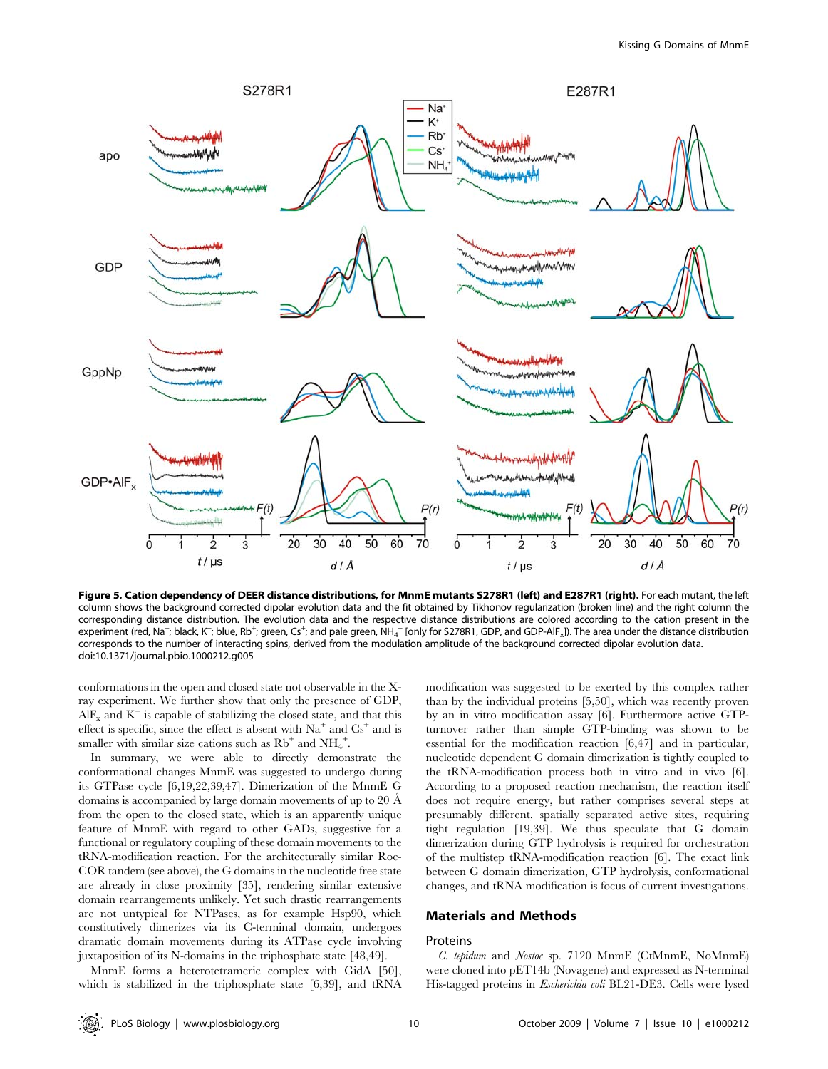

Figure 5. Cation dependency of DEER distance distributions, for MnmE mutants S278R1 (left) and E287R1 (right). For each mutant, the left column shows the background corrected dipolar evolution data and the fit obtained by Tikhonov regularization (broken line) and the right column the corresponding distance distribution. The evolution data and the respective distance distributions are colored according to the cation present in the experiment (red, Na<sup>+</sup>; black, K<sup>+</sup>; blue, Rb<sup>+</sup>; green, Cs<sup>+</sup>; and pale green, NH<sub>4</sub>+ [only for S278R1, GDP, and GDP-AlF<sub>x</sub>]). The area under the distance distribution corresponds to the number of interacting spins, derived from the modulation amplitude of the background corrected dipolar evolution data. doi:10.1371/journal.pbio.1000212.g005

conformations in the open and closed state not observable in the Xray experiment. We further show that only the presence of GDP,  $\text{AlF}_x$  and  $\text{K}^+$  is capable of stabilizing the closed state, and that this effect is specific, since the effect is absent with  $Na<sup>+</sup>$  and  $Cs<sup>+</sup>$  and is smaller with similar size cations such as  $Rb^+$  and  $NH_4^+$ .

In summary, we were able to directly demonstrate the conformational changes MnmE was suggested to undergo during its GTPase cycle [6,19,22,39,47]. Dimerization of the MnmE G domains is accompanied by large domain movements of up to 20  $\AA$ from the open to the closed state, which is an apparently unique feature of MnmE with regard to other GADs, suggestive for a functional or regulatory coupling of these domain movements to the tRNA-modification reaction. For the architecturally similar Roc-COR tandem (see above), the G domains in the nucleotide free state are already in close proximity [35], rendering similar extensive domain rearrangements unlikely. Yet such drastic rearrangements are not untypical for NTPases, as for example Hsp90, which constitutively dimerizes via its C-terminal domain, undergoes dramatic domain movements during its ATPase cycle involving juxtaposition of its N-domains in the triphosphate state [48,49].

MnmE forms a heterotetrameric complex with GidA [50], which is stabilized in the triphosphate state [6,39], and tRNA modification was suggested to be exerted by this complex rather than by the individual proteins [5,50], which was recently proven by an in vitro modification assay [6]. Furthermore active GTPturnover rather than simple GTP-binding was shown to be essential for the modification reaction [6,47] and in particular, nucleotide dependent G domain dimerization is tightly coupled to the tRNA-modification process both in vitro and in vivo [6]. According to a proposed reaction mechanism, the reaction itself does not require energy, but rather comprises several steps at presumably different, spatially separated active sites, requiring tight regulation [19,39]. We thus speculate that G domain dimerization during GTP hydrolysis is required for orchestration of the multistep tRNA-modification reaction [6]. The exact link between G domain dimerization, GTP hydrolysis, conformational changes, and tRNA modification is focus of current investigations.

# Materials and Methods

## Proteins

C. tepidum and Nostoc sp. 7120 MnmE (CtMnmE, NoMnmE) were cloned into pET14b (Novagene) and expressed as N-terminal His-tagged proteins in Escherichia coli BL21-DE3. Cells were lysed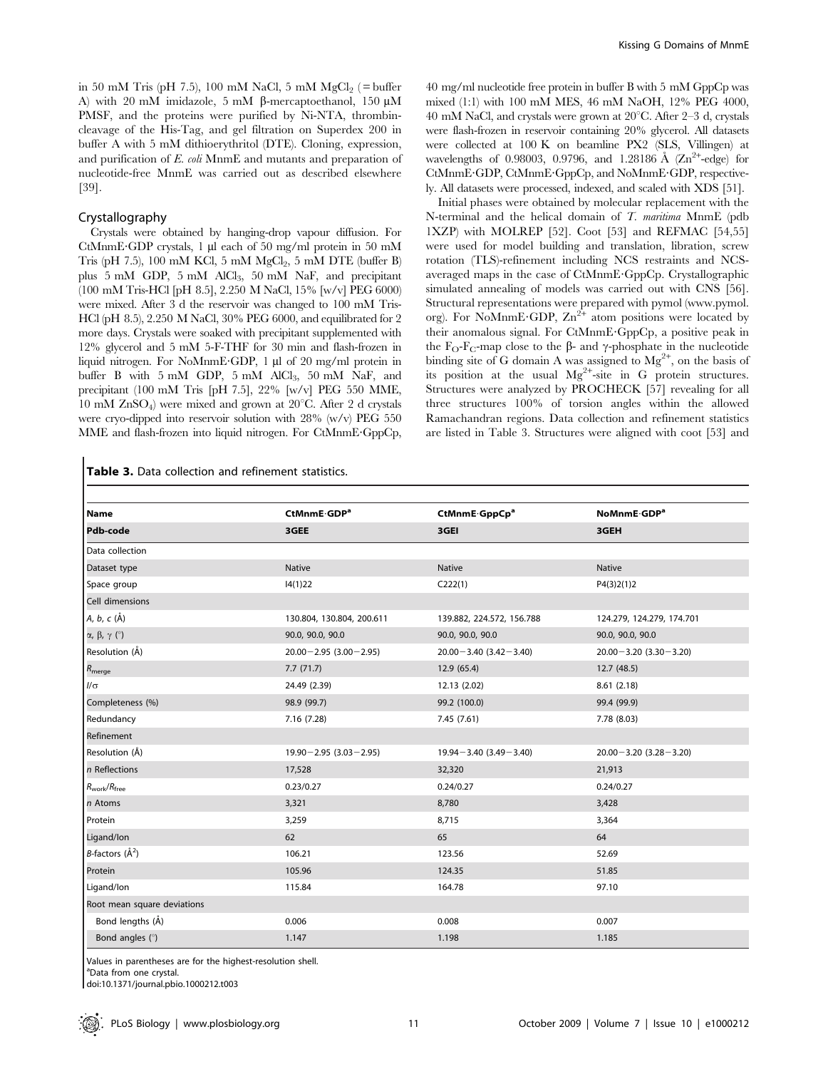in 50 mM Tris (pH 7.5), 100 mM NaCl, 5 mM  $MgCl<sub>2</sub>$  (= buffer A) with 20 mM imidazole, 5 mM  $\beta$ -mercaptoethanol, 150  $\mu$ M PMSF, and the proteins were purified by Ni-NTA, thrombincleavage of the His-Tag, and gel filtration on Superdex 200 in buffer A with 5 mM dithioerythritol (DTE). Cloning, expression, and purification of E. coli MnmE and mutants and preparation of nucleotide-free MnmE was carried out as described elsewhere [39].

# Crystallography

Crystals were obtained by hanging-drop vapour diffusion. For CtMnmE·GDP crystals, 1  $\mu$ l each of 50 mg/ml protein in 50 mM Tris (pH 7.5), 100 mM KCl, 5 mM  $MgCl<sub>2</sub>$ , 5 mM DTE (buffer B) plus 5 mM GDP, 5 mM AlCl<sub>3</sub>, 50 mM NaF, and precipitant (100 mM Tris-HCl [pH 8.5], 2.250 M NaCl, 15% [w/v] PEG 6000) were mixed. After 3 d the reservoir was changed to 100 mM Tris-HCl (pH 8.5), 2.250 M NaCl, 30% PEG 6000, and equilibrated for 2 more days. Crystals were soaked with precipitant supplemented with 12% glycerol and 5 mM 5-F-THF for 30 min and flash-frozen in liquid nitrogen. For NoMnmE·GDP, 1 µl of 20 mg/ml protein in buffer B with 5 mM GDP, 5 mM AlCl<sub>3</sub>, 50 mM NaF, and precipitant (100 mM Tris [pH 7.5], 22% [w/v] PEG 550 MME,  $10 \text{ mM ZnSO}_4$ ) were mixed and grown at  $20^{\circ}\text{C}$ . After 2 d crystals were cryo-dipped into reservoir solution with 28% (w/v) PEG 550 MME and flash-frozen into liquid nitrogen. For CtMnmE?GppCp,

40 mg/ml nucleotide free protein in buffer B with 5 mM GppCp was mixed (1:1) with 100 mM MES, 46 mM NaOH, 12% PEG 4000, 40 mM NaCl, and crystals were grown at  $20^{\circ}$ C. After 2–3 d, crystals were flash-frozen in reservoir containing 20% glycerol. All datasets were collected at 100 K on beamline PX2 (SLS, Villingen) at wavelengths of 0.98003, 0.9796, and 1.28186 Å (Zn<sup>2+</sup>-edge) for CtMnmE?GDP, CtMnmE?GppCp, and NoMnmE?GDP, respectively. All datasets were processed, indexed, and scaled with XDS [51].

Initial phases were obtained by molecular replacement with the N-terminal and the helical domain of T. maritima MnmE (pdb 1XZP) with MOLREP [52]. Coot [53] and REFMAC [54,55] were used for model building and translation, libration, screw rotation (TLS)-refinement including NCS restraints and NCSaveraged maps in the case of CtMnmE?GppCp. Crystallographic simulated annealing of models was carried out with CNS [56]. Structural representations were prepared with pymol (www.pymol. org). For NoMnmE.GDP,  $\text{Zn}^{2+}$  atom positions were located by their anomalous signal. For CtMnmE?GppCp, a positive peak in the  $F_O-F_C$ -map close to the  $\beta$ - and  $\gamma$ -phosphate in the nucleotide binding site of G domain A was assigned to  $Mg^{2+}$ , on the basis of its position at the usual  $Mg^{2+}$ -site in G protein structures. Structures were analyzed by PROCHECK [57] revealing for all three structures 100% of torsion angles within the allowed Ramachandran regions. Data collection and refinement statistics are listed in Table 3. Structures were aligned with coot [53] and

Table 3. Data collection and refinement statistics.

| Name                              | CtMnmE GDP <sup>a</sup>      | CtMnmE GppCp <sup>a</sup>      | NoMnmE GDP <sup>a</sup>      |  |  |  |
|-----------------------------------|------------------------------|--------------------------------|------------------------------|--|--|--|
| Pdb-code                          | 3GEE                         | 3GEI                           | 3GEH                         |  |  |  |
| Data collection                   |                              |                                |                              |  |  |  |
| Dataset type                      | <b>Native</b>                | Native                         | Native                       |  |  |  |
| Space group                       | I4(1)22                      | C222(1)                        | P4(3)2(1)2                   |  |  |  |
| Cell dimensions                   |                              |                                |                              |  |  |  |
| $A, b, c (\mathbf{A})$            | 130.804, 130.804, 200.611    | 139.882, 224.572, 156.788      | 124.279, 124.279, 174.701    |  |  |  |
| $\alpha$ , $\beta$ , $\gamma$ (°) | 90.0, 90.0, 90.0             | 90.0, 90.0, 90.0               | 90.0, 90.0, 90.0             |  |  |  |
| Resolution (Å)                    | $20.00 - 2.95$ (3.00 - 2.95) | $20.00 - 3.40$ (3.42 - 3.40)   | $20.00 - 3.20$ (3.30 - 3.20) |  |  |  |
| $R_{\text{merge}}$                | 7.7(71.7)                    | 12.9 (65.4)                    | 12.7(48.5)                   |  |  |  |
| $1/\sigma$                        | 24.49 (2.39)                 | 12.13 (2.02)                   | 8.61(2.18)                   |  |  |  |
| Completeness (%)                  | 98.9 (99.7)                  | 99.2 (100.0)                   | 99.4 (99.9)                  |  |  |  |
| Redundancy                        | 7.16 (7.28)                  | 7.45(7.61)                     | 7.78 (8.03)                  |  |  |  |
| Refinement                        |                              |                                |                              |  |  |  |
| Resolution (Å)                    | $19.90 - 2.95$ (3.03 - 2.95) | $19.94 - 3.40$ $(3.49 - 3.40)$ | $20.00 - 3.20$ (3.28 - 3.20) |  |  |  |
| $n$ Reflections                   | 17,528                       | 32,320                         | 21,913                       |  |  |  |
| $R_{work}/R_{free}$               | 0.23/0.27                    | 0.24/0.27                      | 0.24/0.27                    |  |  |  |
| n Atoms                           | 3,321                        | 8,780                          | 3,428                        |  |  |  |
| Protein                           | 3,259                        | 8,715                          | 3,364                        |  |  |  |
| Ligand/Ion                        | 62                           | 65                             | 64                           |  |  |  |
| B-factors $(\AA^2)$               | 106.21                       | 123.56                         | 52.69                        |  |  |  |
| Protein                           | 105.96                       | 124.35                         | 51.85                        |  |  |  |
| Ligand/Ion                        | 115.84                       | 164.78                         | 97.10                        |  |  |  |
| Root mean square deviations       |                              |                                |                              |  |  |  |
| Bond lengths (Å)                  | 0.006                        | 0.008                          | 0.007                        |  |  |  |
| Bond angles (°)                   | 1.147                        | 1.198                          | 1.185                        |  |  |  |

Values in parentheses are for the highest-resolution shell.

a Data from one crystal.

doi:10.1371/journal.pbio.1000212.t003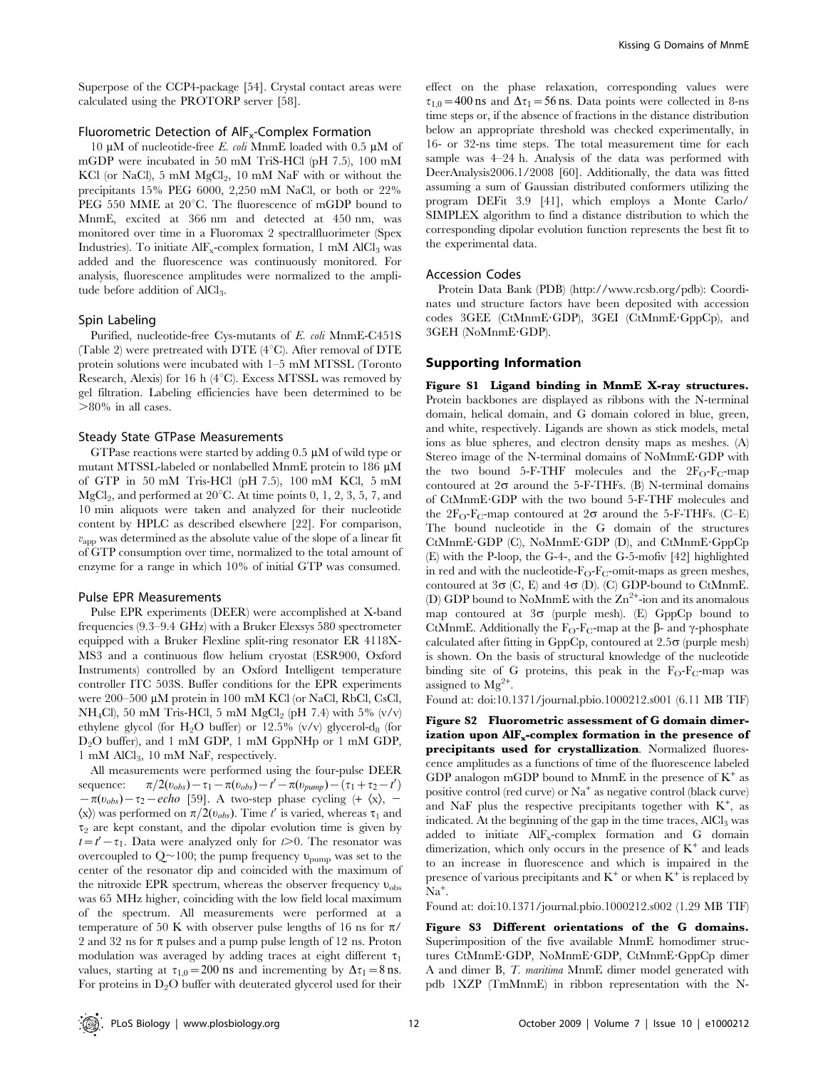Superpose of the CCP4-package [54]. Crystal contact areas were calculated using the PROTORP server [58].

# Fluorometric Detection of AlF<sub>x</sub>-Complex Formation

10  $\mu$ M of nucleotide-free E. coli MnmE loaded with 0.5  $\mu$ M of mGDP were incubated in 50 mM TriS-HCl (pH 7.5), 100 mM KCl (or NaCl),  $5 \text{ mM } MgCl_2$ ,  $10 \text{ mM } NaF$  with or without the precipitants 15% PEG 6000, 2,250 mM NaCl, or both or 22% PEG 550 MME at 20°C. The fluorescence of mGDP bound to MnmE, excited at 366 nm and detected at 450 nm, was monitored over time in a Fluoromax 2 spectralfluorimeter (Spex Industries). To initiate  $\text{AlF}_x$ -complex formation, 1 mM  $\text{AlCl}_3$  was added and the fluorescence was continuously monitored. For analysis, fluorescence amplitudes were normalized to the amplitude before addition of AlCl<sub>3</sub>.

## Spin Labeling

Purified, nucleotide-free Cys-mutants of E. coli MnmE-C451S (Table 2) were pretreated with DTE  $(4^{\circ}C)$ . After removal of DTE protein solutions were incubated with 1–5 mM MTSSL (Toronto Research, Alexis) for 16 h  $(4^{\circ}C)$ . Excess MTSSL was removed by gel filtration. Labeling efficiencies have been determined to be  $>80\%$  in all cases.

## Steady State GTPase Measurements

GTPase reactions were started by adding  $0.5 \mu M$  of wild type or mutant MTSSL-labeled or nonlabelled MnmE protein to 186 µM of GTP in 50 mM Tris-HCl (pH 7.5), 100 mM KCl, 5 mM MgCl<sub>2</sub>, and performed at  $20^{\circ}$ C. At time points 0, 1, 2, 3, 5, 7, and 10 min aliquots were taken and analyzed for their nucleotide content by HPLC as described elsewhere [22]. For comparison,  $v<sub>app</sub>$  was determined as the absolute value of the slope of a linear fit of GTP consumption over time, normalized to the total amount of enzyme for a range in which 10% of initial GTP was consumed.

## Pulse EPR Measurements

Pulse EPR experiments (DEER) were accomplished at X-band frequencies (9.3–9.4 GHz) with a Bruker Elexsys 580 spectrometer equipped with a Bruker Flexline split-ring resonator ER 4118X-MS3 and a continuous flow helium cryostat (ESR900, Oxford Instruments) controlled by an Oxford Intelligent temperature controller ITC 503S. Buffer conditions for the EPR experiments were 200–500 µM protein in 100 mM KCl (or NaCl, RbCl, CsCl, NH<sub>4</sub>Cl), 50 mM Tris-HCl, 5 mM MgCl<sub>2</sub> (pH 7.4) with 5%  $(v/v)$ ethylene glycol (for  $H_2O$  buffer) or 12.5% (v/v) glycerol-d<sub>8</sub> (for D2O buffer), and 1 mM GDP, 1 mM GppNHp or 1 mM GDP, 1 mM AlCl3, 10 mM NaF, respectively.

All measurements were performed using the four-pulse DEER sequence:  $\pi/2(v_{obs}) - \tau_1 - \pi(v_{obs}) - t' - \pi(v_{pump}) - (\tau_1 + \tau_2 - t')$  $-\pi(v_{obs})$  -  $\tau_2$  - echo [59]. A two-step phase cycling (+  $\langle x \rangle$ , - $\langle x \rangle$  was performed on  $\pi/2(v_{obs})$ . Time t' is varied, whereas  $\tau_1$  and  $\tau_2$  are kept constant, and the dipolar evolution time is given by  $t = t' - \tau_1$ . Data were analyzed only for  $t > 0$ . The resonator was overcoupled to Q~100; the pump frequency  $\upsilon_{\text{pump}}$  was set to the center of the resonator dip and coincided with the maximum of the nitroxide EPR spectrum, whereas the observer frequency  $v_{obs}$ was 65 MHz higher, coinciding with the low field local maximum of the spectrum. All measurements were performed at a temperature of 50 K with observer pulse lengths of 16 ns for  $\pi/$ 2 and 32 ns for  $\pi$  pulses and a pump pulse length of 12 ns. Proton modulation was averaged by adding traces at eight different  $\tau_1$ values, starting at  $\tau_{1,0}$  = 200 ns and incrementing by  $\Delta \tau_1$  = 8 ns. For proteins in  $D_2O$  buffer with deuterated glycerol used for their

effect on the phase relaxation, corresponding values were  $\tau_{1,0}$  = 400 ns and  $\Delta \tau_1$  = 56 ns. Data points were collected in 8-ns time steps or, if the absence of fractions in the distance distribution below an appropriate threshold was checked experimentally, in 16- or 32-ns time steps. The total measurement time for each sample was 4–24 h. Analysis of the data was performed with DeerAnalysis2006.1/2008 [60]. Additionally, the data was fitted assuming a sum of Gaussian distributed conformers utilizing the program DEFit 3.9 [41], which employs a Monte Carlo/ SIMPLEX algorithm to find a distance distribution to which the corresponding dipolar evolution function represents the best fit to the experimental data.

## Accession Codes

Protein Data Bank (PDB) (http://www.rcsb.org/pdb): Coordinates und structure factors have been deposited with accession codes 3GEE (CtMnmE?GDP), 3GEI (CtMnmE?GppCp), and 3GEH (NoMnmE?GDP).

## Supporting Information

Figure S1 Ligand binding in MnmE X-ray structures. Protein backbones are displayed as ribbons with the N-terminal domain, helical domain, and G domain colored in blue, green, and white, respectively. Ligands are shown as stick models, metal ions as blue spheres, and electron density maps as meshes. (A) Stereo image of the N-terminal domains of NoMnmE?GDP with the two bound 5-F-THF molecules and the  $2F_O-F_C$ -map contoured at  $2\sigma$  around the 5-F-THFs. (B) N-terminal domains of CtMnmE?GDP with the two bound 5-F-THF molecules and the  $2F_O-F_C$ -map contoured at  $2\sigma$  around the 5-F-THFs. (C–E) The bound nucleotide in the G domain of the structures CtMnmE?GDP (C), NoMnmE?GDP (D), and CtMnmE?GppCp (E) with the P-loop, the G-4-, and the G-5-mofiv [42] highlighted in red and with the nucleotide- $F_{\text{O}}-F_{\text{C}}$ -omit-maps as green meshes, contoured at  $3\sigma$  (C, E) and  $4\sigma$  (D). (C) GDP-bound to CtMnmE. (D) GDP bound to NoMnmE with the  $Zn^{2+}$ -ion and its anomalous map contoured at  $3\sigma$  (purple mesh). (E) GppCp bound to CtMnmE. Additionally the  $F_{O} - F_{C}$ -map at the  $\beta$ - and  $\gamma$ -phosphate calculated after fitting in GppCp, contoured at  $2.5\sigma$  (purple mesh) is shown. On the basis of structural knowledge of the nucleotide binding site of G proteins, this peak in the  $F_O-F_C$ -map was assigned to  $Mg^{2+}$ .

Found at: doi:10.1371/journal.pbio.1000212.s001 (6.11 MB TIF)

Figure S2 Fluorometric assessment of G domain dimerization upon  $\text{AlF}_x$ -complex formation in the presence of precipitants used for crystallization. Normalized fluorescence amplitudes as a functions of time of the fluorescence labeled GDP analogon mGDP bound to MnmE in the presence of  $K^+$  as positive control (red curve) or  $Na<sup>+</sup>$  as negative control (black curve) and NaF plus the respective precipitants together with  $K^+$ , as indicated. At the beginning of the gap in the time traces,  $AICI<sub>3</sub>$  was added to initiate AlFx-complex formation and G domain dimerization, which only occurs in the presence of  $K^+$  and leads to an increase in fluorescence and which is impaired in the presence of various precipitants and  $K^+$  or when  $K^+$  is replaced by Na<sup>+</sup> .

Found at: doi:10.1371/journal.pbio.1000212.s002 (1.29 MB TIF)

Figure S3 Different orientations of the G domains. Superimposition of the five available MnmE homodimer structures CtMnmE?GDP, NoMnmE?GDP, CtMnmE?GppCp dimer A and dimer B, T. maritima MnmE dimer model generated with pdb 1XZP (TmMnmE) in ribbon representation with the N-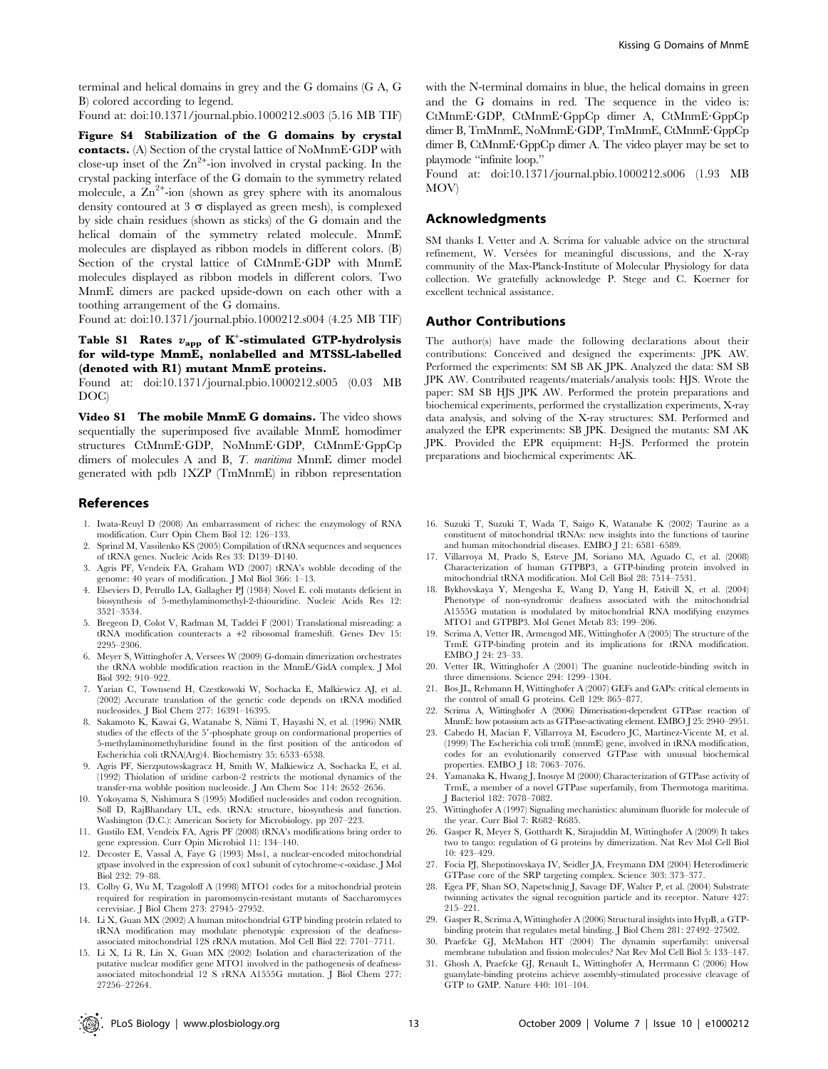terminal and helical domains in grey and the G domains (G A, G B) colored according to legend.

Found at: doi:10.1371/journal.pbio.1000212.s003 (5.16 MB TIF)

Figure S4 Stabilization of the G domains by crystal contacts. (A) Section of the crystal lattice of NoMnmE?GDP with close-up inset of the  $Zn^{2+}$ -ion involved in crystal packing. In the crystal packing interface of the G domain to the symmetry related molecule, a  $\text{Zn}^{2+}$ -ion (shown as grey sphere with its anomalous density contoured at 3  $\sigma$  displayed as green mesh), is complexed by side chain residues (shown as sticks) of the G domain and the helical domain of the symmetry related molecule. MnmE molecules are displayed as ribbon models in different colors. (B) Section of the crystal lattice of CtMnmE?GDP with MnmE molecules displayed as ribbon models in different colors. Two MnmE dimers are packed upside-down on each other with a toothing arrangement of the G domains.

Found at: doi:10.1371/journal.pbio.1000212.s004 (4.25 MB TIF)

Table S1 Rates  $v_{\rm app}$  of K<sup>+</sup>-stimulated GTP-hydrolysis for wild-type MnmE, nonlabelled and MTSSL-labelled (denoted with R1) mutant MnmE proteins.

Found at: doi:10.1371/journal.pbio.1000212.s005 (0.03 MB DOC)

Video S1 The mobile MnmE G domains. The video shows sequentially the superimposed five available MnmE homodimer structures CtMnmE?GDP, NoMnmE?GDP, CtMnmE?GppCp dimers of molecules A and B, T. maritima MnmE dimer model generated with pdb 1XZP (TmMnmE) in ribbon representation

## References

- 1. Iwata-Reuyl D (2008) An embarrassment of riches: the enzymology of RNA modification. Curr Opin Chem Biol 12: 126–133.
- 2. Sprinzl M, Vassilenko KS (2005) Compilation of tRNA sequences and sequences of tRNA genes. Nucleic Acids Res 33: D139–D140.
- 3. Agris PF, Vendeix FA, Graham WD (2007) tRNA's wobble decoding of the genome: 40 years of modification. J Mol Biol 366: 1–13.
- 4. Elseviers D, Petrullo LA, Gallagher PJ (1984) Novel E. coli mutants deficient in biosynthesis of 5-methylaminomethyl-2-thiouridine. Nucleic Acids Res 12: 3521–3534.
- 5. Bregeon D, Colot V, Radman M, Taddei F (2001) Translational misreading: a tRNA modification counteracts a +2 ribosomal frameshift. Genes Dev 15: 2295–2306.
- 6. Meyer S, Wittinghofer A, Versees W (2009) G-domain dimerization orchestrates the tRNA wobble modification reaction in the MnmE/GidA complex. J Mol Biol 392: 910–922.
- 7. Yarian C, Townsend H, Czestkowski W, Sochacka E, Malkiewicz AJ, et al. (2002) Accurate translation of the genetic code depends on tRNA modified nucleosides. J Biol Chem 277: 16391–16395.
- 8. Sakamoto K, Kawai G, Watanabe S, Niimi T, Hayashi N, et al. (1996) NMR studies of the effects of the 5'-phosphate group on conformational properties of 5-methylaminomethyluridine found in the first position of the anticodon of Escherichia coli tRNA(Arg)4. Biochemistry 35: 6533–6538.
- 9. Agris PF, Sierzputowskagracz H, Smith W, Malkiewicz A, Sochacka E, et al. (1992) Thiolation of uridine carbon-2 restricts the motional dynamics of the transfer-rna wobble position nucleoside. J Am Chem Soc 114: 2652–2656.
- 10. Yokoyama S, Nishimura S (1995) Modified nucleosides and codon recognition. Soll D, RajBhandary UL, eds. tRNA: structure, biosynthesis and function. Washington (D.C.): American Society for Microbiology. pp 207–223.
- 11. Gustilo EM, Vendeix FA, Agris PF (2008) tRNA's modifications bring order to gene expression. Curr Opin Microbiol 11: 134–140.
- 12. Decoster E, Vassal A, Faye G (1993) Mss1, a nuclear-encoded mitochondrial gtpase involved in the expression of cox1 subunit of cytochrome-c-oxidase. J Mol Biol 232: 79–88.
- 13. Colby G, Wu M, Tzagoloff A (1998) MTO1 codes for a mitochondrial protein required for respiration in paromomycin-resistant mutants of Saccharomyces cerevisiae. J Biol Chem 273: 27945–27952.
- 14. Li X, Guan MX (2002) A human mitochondrial GTP binding protein related to tRNA modification may modulate phenotypic expression of the deafnessassociated mitochondrial 12S rRNA mutation. Mol Cell Biol 22: 7701–7711.
- 15. Li X, Li R, Lin X, Guan MX (2002) Isolation and characterization of the putative nuclear modifier gene MTO1 involved in the pathogenesis of deafnessassociated mitochondrial 12 S rRNA A1555G mutation. J Biol Chem 277: 27256–27264.

with the N-terminal domains in blue, the helical domains in green and the G domains in red. The sequence in the video is: CtMnmE?GDP, CtMnmE?GppCp dimer A, CtMnmE?GppCp dimer B, TmMnmE, NoMnmE?GDP, TmMnmE, CtMnmE?GppCp dimer B, CtMnmE?GppCp dimer A. The video player may be set to playmode ''infinite loop.''

Found at: doi:10.1371/journal.pbio.1000212.s006 (1.93 MB MOV)

## Acknowledgments

SM thanks I. Vetter and A. Scrima for valuable advice on the structural refinement, W. Versées for meaningful discussions, and the X-ray community of the Max-Planck-Institute of Molecular Physiology for data collection. We gratefully acknowledge P. Stege and C. Koerner for excellent technical assistance.

# Author Contributions

The author(s) have made the following declarations about their contributions: Conceived and designed the experiments: JPK AW. Performed the experiments: SM SB AK JPK. Analyzed the data: SM SB JPK AW. Contributed reagents/materials/analysis tools: HJS. Wrote the paper: SM SB HJS JPK AW. Performed the protein preparations and biochemical experiments, performed the crystallization experiments, X-ray data analysis, and solving of the X-ray structures: SM. Performed and analyzed the EPR experiments: SB JPK. Designed the mutants: SM AK JPK. Provided the EPR equipment: H-JS. Performed the protein preparations and biochemical experiments: AK.

- 16. Suzuki T, Suzuki T, Wada T, Saigo K, Watanabe K (2002) Taurine as a constituent of mitochondrial tRNAs: new insights into the functions of taurine and human mitochondrial diseases. EMBO J 21: 6581–6589.
- 17. Villarroya M, Prado S, Esteve JM, Soriano MA, Aguado C, et al. (2008) Characterization of human GTPBP3, a GTP-binding protein involved in mitochondrial tRNA modification. Mol Cell Biol 28: 7514–7531.
- 18. Bykhovskaya Y, Mengesha E, Wang D, Yang H, Estivill X, et al. (2004) Phenotype of non-syndromic deafness associated with the mitochondrial A1555G mutation is modulated by mitochondrial RNA modifying enzymes MTO1 and GTPBP3. Mol Genet Metab 83: 199–206.
- 19. Scrima A, Vetter IR, Armengod ME, Wittinghofer A (2005) The structure of the TrmE GTP-binding protein and its implications for tRNA modification. EMBO J 24: 23–33.
- 20. Vetter IR, Wittinghofer A (2001) The guanine nucleotide-binding switch in three dimensions. Science 294: 1299–1304.
- 21. Bos JL, Rehmann H, Wittinghofer A (2007) GEFs and GAPs: critical elements in the control of small G proteins. Cell 129: 865–877.
- 22. Scrima A, Wittinghofer A (2006) Dimerisation-dependent GTPase reaction of MnmE: how potassium acts as GTPase-activating element. EMBO J 25: 2940–2951.
- 23. Cabedo H, Macian F, Villarroya M, Escudero JC, Martinez-Vicente M, et al. (1999) The Escherichia coli trmE (mnmE) gene, involved in tRNA modification, codes for an evolutionarily conserved GTPase with unusual biochemical properties. EMBO J 18: 7063–7076.
- 24. Yamanaka K, Hwang J, Inouye M (2000) Characterization of GTPase activity of TrmE, a member of a novel GTPase superfamily, from Thermotoga maritima. J Bacteriol 182: 7078–7082.
- 25. Wittinghofer A (1997) Signaling mechanistics: aluminum fluoride for molecule of the year. Curr Biol 7: R682–R685.
- 26. Gasper R, Meyer S, Gotthardt K, Sirajuddin M, Wittinghofer A (2009) It takes two to tango: regulation of G proteins by dimerization. Nat Rev Mol Cell Biol 10: 423–429.
- 27. Focia PJ, Shepotinovskaya IV, Seidler JA, Freymann DM (2004) Heterodimeric GTPase core of the SRP targeting complex. Science 303: 373–377.
- 28. Egea PF, Shan SO, Napetschnig J, Savage DF, Walter P, et al. (2004) Substrate twinning activates the signal recognition particle and its receptor. Nature 427: 215–221.
- 29. Gasper R, Scrima A, Wittinghofer A (2006) Structural insights into HypB, a GTPbinding protein that regulates metal binding. J Biol Chem 281: 27492–27502.
- 30. Praefcke GJ, McMahon HT (2004) The dynamin superfamily: universal membrane tubulation and fission molecules? Nat Rev Mol Cell Biol 5: 133–147.
- 31. Ghosh A, Praefcke GJ, Renault L, Wittinghofer A, Herrmann C (2006) How guanylate-binding proteins achieve assembly-stimulated processive cleavage of GTP to GMP. Nature 440: 101–104.